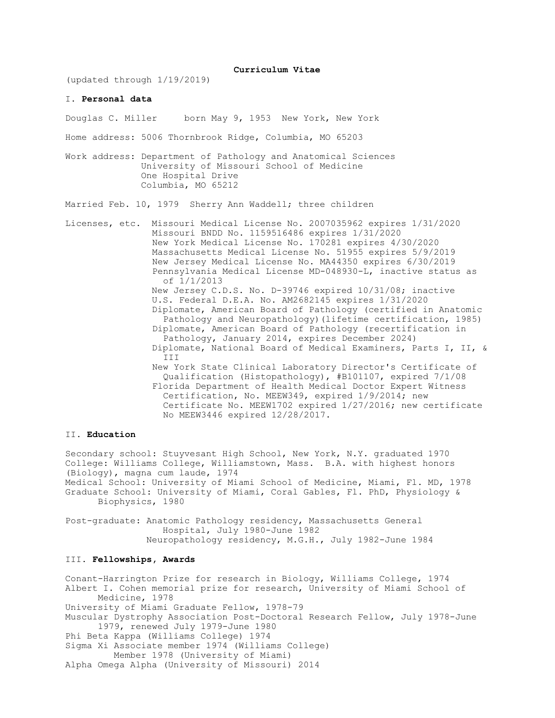**Curriculum Vitae**

(updated through 1/19/2019)

## I. **Personal data**

Douglas C. Miller born May 9, 1953 New York, New York

Home address: 5006 Thornbrook Ridge, Columbia, MO 65203

Work address: Department of Pathology and Anatomical Sciences University of Missouri School of Medicine One Hospital Drive Columbia, MO 65212

Married Feb. 10, 1979 Sherry Ann Waddell; three children

Licenses, etc. Missouri Medical License No. 2007035962 expires 1/31/2020 Missouri BNDD No. 1159516486 expires 1/31/2020 New York Medical License No. 170281 expires 4/30/2020 Massachusetts Medical License No. 51955 expires 5/9/2019 New Jersey Medical License No. MA44350 expires 6/30/2019 Pennsylvania Medical License MD-048930-L, inactive status as of 1/1/2013 New Jersey C.D.S. No. D-39746 expired 10/31/08; inactive U.S. Federal D.E.A. No. AM2682145 expires 1/31/2020 Diplomate, American Board of Pathology (certified in Anatomic Pathology and Neuropathology)(lifetime certification, 1985) Diplomate, American Board of Pathology (recertification in Pathology, January 2014, expires December 2024) Diplomate, National Board of Medical Examiners, Parts I, II, & III New York State Clinical Laboratory Director's Certificate of Qualification (Histopathology), #B101107, expired 7/1/08 Florida Department of Health Medical Doctor Expert Witness Certification, No. MEEW349, expired 1/9/2014; new Certificate No. MEEW1702 expired 1/27/2016; new certificate No MEEW3446 expired 12/28/2017.

# II. **Education**

Secondary school: Stuyvesant High School, New York, N.Y. graduated 1970 College: Williams College, Williamstown, Mass. B.A. with highest honors (Biology), magna cum laude, 1974 Medical School: University of Miami School of Medicine, Miami, Fl. MD, 1978 Graduate School: University of Miami, Coral Gables, Fl. PhD, Physiology & Biophysics, 1980

Post-graduate: Anatomic Pathology residency, Massachusetts General Hospital, July 1980-June 1982 Neuropathology residency, M.G.H., July 1982-June 1984

# III. **Fellowships, Awards**

Conant-Harrington Prize for research in Biology, Williams College, 1974 Albert I. Cohen memorial prize for research, University of Miami School of Medicine, 1978 University of Miami Graduate Fellow, 1978-79 Muscular Dystrophy Association Post-Doctoral Research Fellow, July 1978-June 1979, renewed July 1979-June 1980 Phi Beta Kappa (Williams College) 1974 Sigma Xi Associate member 1974 (Williams College) Member 1978 (University of Miami) Alpha Omega Alpha (University of Missouri) 2014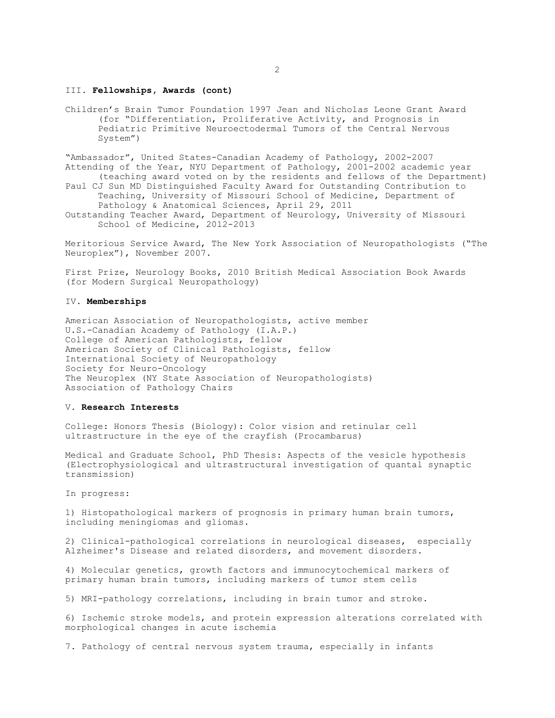## III. **Fellowships, Awards (cont)**

Children's Brain Tumor Foundation 1997 Jean and Nicholas Leone Grant Award (for "Differentiation, Proliferative Activity, and Prognosis in Pediatric Primitive Neuroectodermal Tumors of the Central Nervous System")

"Ambassador", United States-Canadian Academy of Pathology, 2002-2007 Attending of the Year, NYU Department of Pathology, 2001-2002 academic year (teaching award voted on by the residents and fellows of the Department)

- Paul CJ Sun MD Distinguished Faculty Award for Outstanding Contribution to Teaching, University of Missouri School of Medicine, Department of Pathology & Anatomical Sciences, April 29, 2011
- Outstanding Teacher Award, Department of Neurology, University of Missouri School of Medicine, 2012-2013

Meritorious Service Award, The New York Association of Neuropathologists ("The Neuroplex"), November 2007.

First Prize, Neurology Books, 2010 British Medical Association Book Awards (for Modern Surgical Neuropathology)

#### IV. **Memberships**

American Association of Neuropathologists, active member U.S.-Canadian Academy of Pathology (I.A.P.) College of American Pathologists, fellow American Society of Clinical Pathologists, fellow International Society of Neuropathology Society for Neuro-Oncology The Neuroplex (NY State Association of Neuropathologists) Association of Pathology Chairs

## V. **Research Interests**

College: Honors Thesis (Biology): Color vision and retinular cell ultrastructure in the eye of the crayfish (Procambarus)

Medical and Graduate School, PhD Thesis: Aspects of the vesicle hypothesis (Electrophysiological and ultrastructural investigation of quantal synaptic transmission)

In progress:

1) Histopathological markers of prognosis in primary human brain tumors, including meningiomas and gliomas.

2) Clinical-pathological correlations in neurological diseases, especially Alzheimer's Disease and related disorders, and movement disorders.

4) Molecular genetics, growth factors and immunocytochemical markers of primary human brain tumors, including markers of tumor stem cells

5) MRI-pathology correlations, including in brain tumor and stroke.

6) Ischemic stroke models, and protein expression alterations correlated with morphological changes in acute ischemia

7. Pathology of central nervous system trauma, especially in infants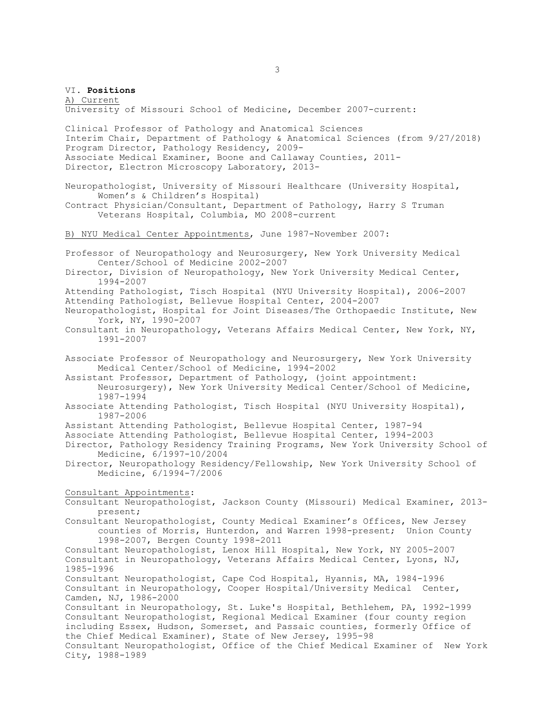VI. **Positions** A) Current University of Missouri School of Medicine, December 2007-current: Clinical Professor of Pathology and Anatomical Sciences Interim Chair, Department of Pathology & Anatomical Sciences (from 9/27/2018) Program Director, Pathology Residency, 2009- Associate Medical Examiner, Boone and Callaway Counties, 2011- Director, Electron Microscopy Laboratory, 2013- Neuropathologist, University of Missouri Healthcare (University Hospital, Women's & Children's Hospital) Contract Physician/Consultant, Department of Pathology, Harry S Truman Veterans Hospital, Columbia, MO 2008-current B) NYU Medical Center Appointments, June 1987-November 2007: Professor of Neuropathology and Neurosurgery, New York University Medical Center/School of Medicine 2002-2007 Director, Division of Neuropathology, New York University Medical Center, 1994-2007 Attending Pathologist, Tisch Hospital (NYU University Hospital), 2006-2007 Attending Pathologist, Bellevue Hospital Center, 2004-2007 Neuropathologist, Hospital for Joint Diseases/The Orthopaedic Institute, New York, NY, 1990-2007 Consultant in Neuropathology, Veterans Affairs Medical Center, New York, NY, 1991-2007 Associate Professor of Neuropathology and Neurosurgery, New York University Medical Center/School of Medicine, 1994-2002 Assistant Professor, Department of Pathology, (joint appointment: Neurosurgery), New York University Medical Center/School of Medicine, 1987-1994 Associate Attending Pathologist, Tisch Hospital (NYU University Hospital), 1987-2006 Assistant Attending Pathologist, Bellevue Hospital Center, 1987-94 Associate Attending Pathologist, Bellevue Hospital Center, 1994-2003 Director, Pathology Residency Training Programs, New York University School of Medicine, 6/1997-10/2004 Director, Neuropathology Residency/Fellowship, New York University School of Medicine, 6/1994-7/2006 Consultant Appointments: Consultant Neuropathologist, Jackson County (Missouri) Medical Examiner, 2013 present; Consultant Neuropathologist, County Medical Examiner's Offices, New Jersey counties of Morris, Hunterdon, and Warren 1998-present; Union County 1998-2007, Bergen County 1998-2011 Consultant Neuropathologist, Lenox Hill Hospital, New York, NY 2005-2007 Consultant in Neuropathology, Veterans Affairs Medical Center, Lyons, NJ, 1985-1996 Consultant Neuropathologist, Cape Cod Hospital, Hyannis, MA, 1984-1996 Consultant in Neuropathology, Cooper Hospital/University Medical Center, Camden, NJ, 1986-2000 Consultant in Neuropathology, St. Luke's Hospital, Bethlehem, PA, 1992-1999 Consultant Neuropathologist, Regional Medical Examiner (four county region including Essex, Hudson, Somerset, and Passaic counties, formerly Office of the Chief Medical Examiner), State of New Jersey, 1995-98 Consultant Neuropathologist, Office of the Chief Medical Examiner of New York City, 1988-1989

3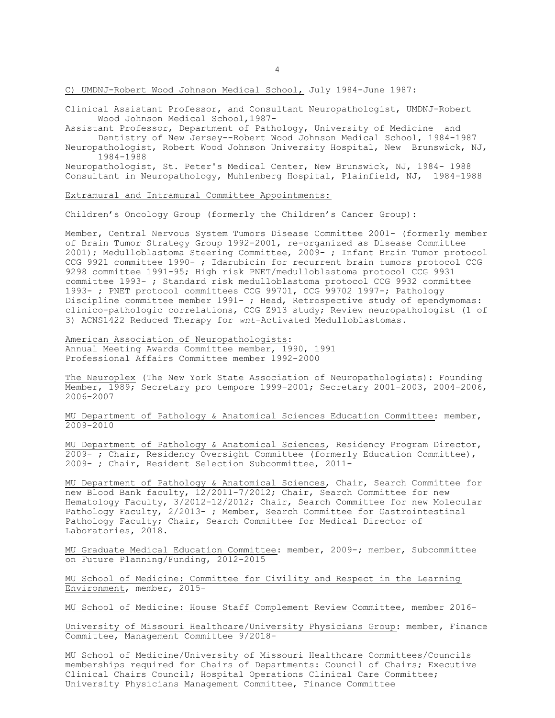C) UMDNJ-Robert Wood Johnson Medical School, July 1984-June 1987:

Clinical Assistant Professor, and Consultant Neuropathologist, UMDNJ-Robert Wood Johnson Medical School,1987-

Assistant Professor, Department of Pathology, University of Medicine and Dentistry of New Jersey--Robert Wood Johnson Medical School, 1984-1987

Neuropathologist, Robert Wood Johnson University Hospital, New Brunswick, NJ, 1984-1988

Neuropathologist, St. Peter's Medical Center, New Brunswick, NJ, 1984- 1988 Consultant in Neuropathology, Muhlenberg Hospital, Plainfield, NJ, 1984-1988

Extramural and Intramural Committee Appointments:

## Children's Oncology Group (formerly the Children's Cancer Group):

Member, Central Nervous System Tumors Disease Committee 2001- (formerly member of Brain Tumor Strategy Group 1992-2001, re-organized as Disease Committee 2001); Medulloblastoma Steering Committee, 2009- ; Infant Brain Tumor protocol CCG 9921 committee 1990- ; Idarubicin for recurrent brain tumors protocol CCG 9298 committee 1991-95; High risk PNET/medulloblastoma protocol CCG 9931 committee 1993- ; Standard risk medulloblastoma protocol CCG 9932 committee 1993- ; PNET protocol committees CCG 99701, CCG 99702 1997-; Pathology Discipline committee member 1991- ; Head, Retrospective study of ependymomas: clinico-pathologic correlations, CCG Z913 study; Review neuropathologist (1 of 3) ACNS1422 Reduced Therapy for *wnt*-Activated Medulloblastomas.

American Association of Neuropathologists: Annual Meeting Awards Committee member, 1990, 1991 Professional Affairs Committee member 1992-2000

The Neuroplex (The New York State Association of Neuropathologists): Founding Member, 1989; Secretary pro tempore 1999-2001; Secretary 2001-2003, 2004-2006, 2006-2007

MU Department of Pathology & Anatomical Sciences Education Committee: member, 2009-2010

MU Department of Pathology & Anatomical Sciences, Residency Program Director, 2009- ; Chair, Residency Oversight Committee (formerly Education Committee), 2009- ; Chair, Resident Selection Subcommittee, 2011-

MU Department of Pathology & Anatomical Sciences, Chair, Search Committee for new Blood Bank faculty, 12/2011-7/2012; Chair, Search Committee for new Hematology Faculty, 3/2012-12/2012; Chair, Search Committee for new Molecular Pathology Faculty, 2/2013- ; Member, Search Committee for Gastrointestinal Pathology Faculty; Chair, Search Committee for Medical Director of Laboratories, 2018.

MU Graduate Medical Education Committee: member, 2009-; member, Subcommittee on Future Planning/Funding, 2012-2015

MU School of Medicine: Committee for Civility and Respect in the Learning Environment, member, 2015-

MU School of Medicine: House Staff Complement Review Committee, member 2016-

University of Missouri Healthcare/University Physicians Group: member, Finance Committee, Management Committee 9/2018-

MU School of Medicine/University of Missouri Healthcare Committees/Councils memberships required for Chairs of Departments: Council of Chairs; Executive Clinical Chairs Council; Hospital Operations Clinical Care Committee; University Physicians Management Committee, Finance Committee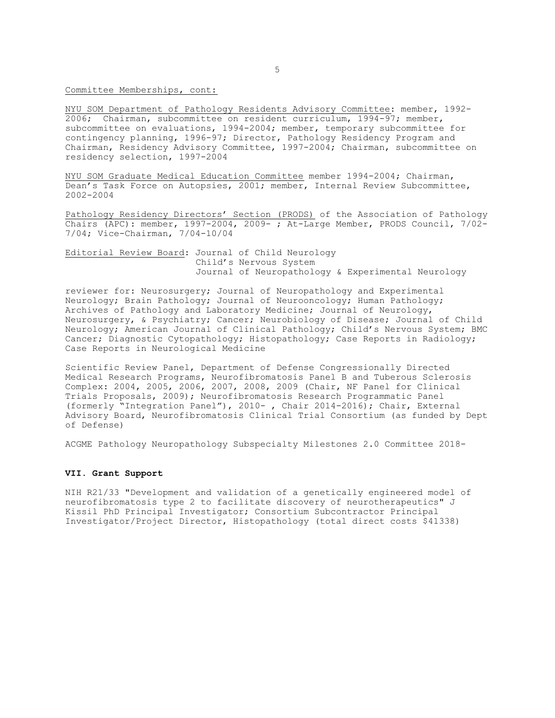Committee Memberships, cont:

NYU SOM Department of Pathology Residents Advisory Committee: member, 1992- 2006; Chairman, subcommittee on resident curriculum, 1994-97; member, subcommittee on evaluations, 1994-2004; member, temporary subcommittee for contingency planning, 1996-97; Director, Pathology Residency Program and Chairman, Residency Advisory Committee, 1997-2004; Chairman, subcommittee on residency selection, 1997-2004

NYU SOM Graduate Medical Education Committee member 1994-2004; Chairman, Dean's Task Force on Autopsies, 2001; member, Internal Review Subcommittee, 2002-2004

Pathology Residency Directors' Section (PRODS) of the Association of Pathology Chairs (APC): member, 1997-2004, 2009- ; At-Large Member, PRODS Council, 7/02- 7/04; Vice-Chairman, 7/04-10/04

Editorial Review Board: Journal of Child Neurology Child's Nervous System Journal of Neuropathology & Experimental Neurology

reviewer for: Neurosurgery; Journal of Neuropathology and Experimental Neurology; Brain Pathology; Journal of Neurooncology; Human Pathology; Archives of Pathology and Laboratory Medicine; Journal of Neurology, Neurosurgery, & Psychiatry; Cancer; Neurobiology of Disease; Journal of Child Neurology; American Journal of Clinical Pathology; Child's Nervous System; BMC Cancer; Diagnostic Cytopathology; Histopathology; Case Reports in Radiology; Case Reports in Neurological Medicine

Scientific Review Panel, Department of Defense Congressionally Directed Medical Research Programs, Neurofibromatosis Panel B and Tuberous Sclerosis Complex: 2004, 2005, 2006, 2007, 2008, 2009 (Chair, NF Panel for Clinical Trials Proposals, 2009); Neurofibromatosis Research Programmatic Panel (formerly "Integration Panel"), 2010- , Chair 2014-2016); Chair, External Advisory Board, Neurofibromatosis Clinical Trial Consortium (as funded by Dept of Defense)

ACGME Pathology Neuropathology Subspecialty Milestones 2.0 Committee 2018-

#### **VII. Grant Support**

NIH R21/33 "Development and validation of a genetically engineered model of neurofibromatosis type 2 to facilitate discovery of neurotherapeutics" J Kissil PhD Principal Investigator; Consortium Subcontractor Principal Investigator/Project Director, Histopathology (total direct costs \$41338)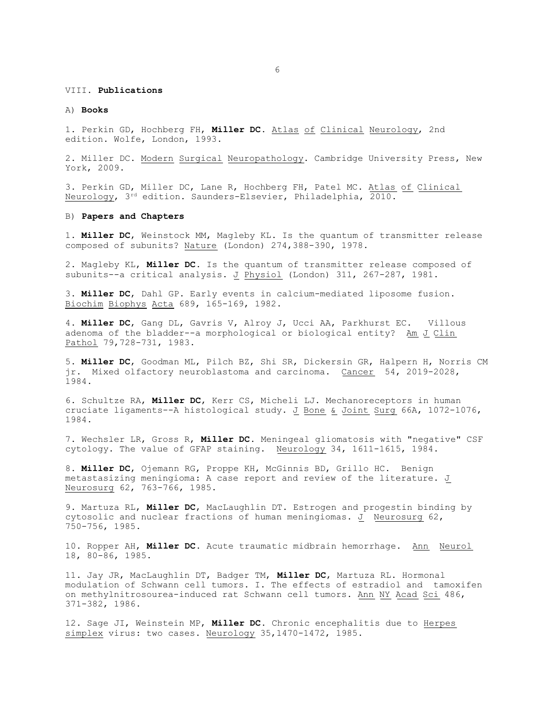#### VIII. **Publications**

#### A) **Books**

1. Perkin GD, Hochberg FH, **Miller DC**. Atlas of Clinical Neurology, 2nd edition. Wolfe, London, 1993.

2. Miller DC. Modern Surgical Neuropathology. Cambridge University Press, New York, 2009.

3. Perkin GD, Miller DC, Lane R, Hochberg FH, Patel MC. Atlas of Clinical Neurology, 3rd edition. Saunders-Elsevier, Philadelphia, 2010.

### B) **Papers and Chapters**

1. **Miller DC**, Weinstock MM, Magleby KL. Is the quantum of transmitter release composed of subunits? Nature (London) 274,388-390, 1978.

2. Magleby KL, **Miller DC**. Is the quantum of transmitter release composed of subunits--a critical analysis. J Physiol (London) 311, 267-287, 1981.

3. **Miller DC**, Dahl GP. Early events in calcium-mediated liposome fusion. Biochim Biophys Acta 689, 165-169, 1982.

4. **Miller DC**, Gang DL, Gavris V, Alroy J, Ucci AA, Parkhurst EC. Villous adenoma of the bladder--a morphological or biological entity? Am J Clin Pathol 79,728-731, 1983.

5. **Miller DC**, Goodman ML, Pilch BZ, Shi SR, Dickersin GR, Halpern H, Norris CM jr. Mixed olfactory neuroblastoma and carcinoma. Cancer 54, 2019-2028, 1984.

6. Schultze RA, **Miller DC**, Kerr CS, Micheli LJ. Mechanoreceptors in human cruciate ligaments--A histological study. J Bone & Joint Surg 66A, 1072-1076, 1984.

7. Wechsler LR, Gross R, **Miller DC**. Meningeal gliomatosis with "negative" CSF cytology. The value of GFAP staining. Neurology 34, 1611-1615, 1984.

8. **Miller DC**, Ojemann RG, Proppe KH, McGinnis BD, Grillo HC. Benign metastasizing meningioma: A case report and review of the literature. J Neurosurg 62, 763-766, 1985.

9. Martuza RL, **Miller DC**, MacLaughlin DT. Estrogen and progestin binding by cytosolic and nuclear fractions of human meningiomas. J Neurosurg 62, 750-756, 1985.

10. Ropper AH, **Miller DC**. Acute traumatic midbrain hemorrhage. Ann Neurol 18, 80-86, 1985.

11. Jay JR, MacLaughlin DT, Badger TM, **Miller DC**, Martuza RL. Hormonal modulation of Schwann cell tumors. I. The effects of estradiol and tamoxifen on methylnitrosourea-induced rat Schwann cell tumors. Ann NY Acad Sci 486, 371-382, 1986.

12. Sage JI, Weinstein MP, **Miller DC**. Chronic encephalitis due to Herpes simplex virus: two cases. Neurology 35,1470-1472, 1985.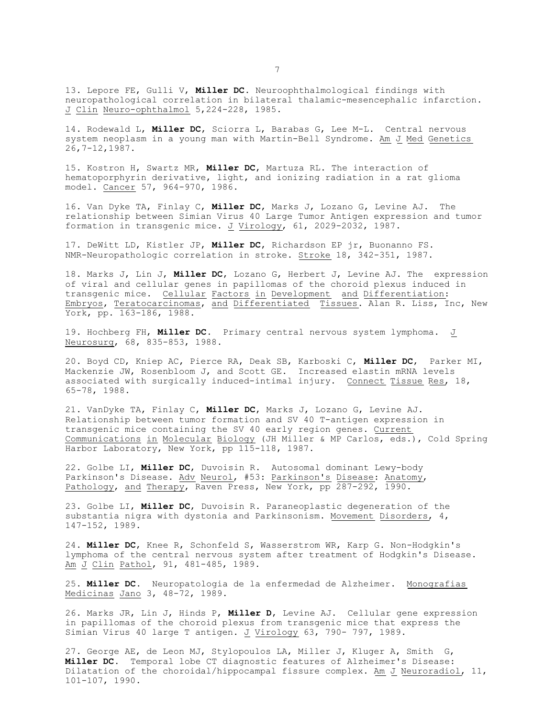13. Lepore FE, Gulli V, **Miller DC**. Neuroophthalmological findings with neuropathological correlation in bilateral thalamic-mesencephalic infarction. J Clin Neuro-ophthalmol 5,224-228, 1985.

14. Rodewald L, **Miller DC**, Sciorra L, Barabas G, Lee M-L. Central nervous system neoplasm in a young man with Martin-Bell Syndrome. Am J Med Genetics 26,7-12,1987.

15. Kostron H, Swartz MR, **Miller DC**, Martuza RL. The interaction of hematoporphyrin derivative, light, and ionizing radiation in a rat glioma model. Cancer 57, 964-970, 1986.

16. Van Dyke TA, Finlay C, **Miller DC**, Marks J, Lozano G, Levine AJ. The relationship between Simian Virus 40 Large Tumor Antigen expression and tumor formation in transgenic mice. J Virology, 61, 2029-2032, 1987.

17. DeWitt LD, Kistler JP, **Miller DC**, Richardson EP jr, Buonanno FS. NMR-Neuropathologic correlation in stroke. Stroke 18, 342-351, 1987.

18. Marks J, Lin J, **Miller DC**, Lozano G, Herbert J, Levine AJ. The expression of viral and cellular genes in papillomas of the choroid plexus induced in transgenic mice. Cellular Factors in Development and Differentiation: Embryos, Teratocarcinomas, and Differentiated Tissues. Alan R. Liss, Inc, New York, pp. 163-186, 1988.

19. Hochberg FH, **Miller DC**. Primary central nervous system lymphoma. J Neurosurg, 68, 835-853, 1988.

20. Boyd CD, Kniep AC, Pierce RA, Deak SB, Karboski C, **Miller DC**, Parker MI, Mackenzie JW, Rosenbloom J, and Scott GE. Increased elastin mRNA levels associated with surgically induced-intimal injury. Connect Tissue Res, 18, 65-78, 1988.

21. VanDyke TA, Finlay C, **Miller DC**, Marks J, Lozano G, Levine AJ. Relationship between tumor formation and SV 40 T-antigen expression in transgenic mice containing the SV 40 early region genes. Current Communications in Molecular Biology (JH Miller & MP Carlos, eds.), Cold Spring Harbor Laboratory, New York, pp 115-118, 1987.

22. Golbe LI, **Miller DC**, Duvoisin R. Autosomal dominant Lewy-body Parkinson's Disease. Adv Neurol, #53: Parkinson's Disease: Anatomy, Pathology, and Therapy, Raven Press, New York, pp 287-292, 1990.

23. Golbe LI, **Miller DC**, Duvoisin R. Paraneoplastic degeneration of the substantia nigra with dystonia and Parkinsonism. Movement Disorders, 4, 147-152, 1989.

24. **Miller DC**, Knee R, Schonfeld S, Wasserstrom WR, Karp G. Non-Hodgkin's lymphoma of the central nervous system after treatment of Hodgkin's Disease. Am J Clin Pathol, 91, 481-485, 1989.

25. **Miller DC**. Neuropatologia de la enfermedad de Alzheimer. Monografias Medicinas Jano 3, 48-72, 1989.

26. Marks JR, Lin J, Hinds P, **Miller D**, Levine AJ. Cellular gene expression in papillomas of the choroid plexus from transgenic mice that express the Simian Virus 40 large T antigen. J Virology 63, 790- 797, 1989.

27. George AE, de Leon MJ, Stylopoulos LA, Miller J, Kluger A, Smith G, **Miller DC**. Temporal lobe CT diagnostic features of Alzheimer's Disease: Dilatation of the choroidal/hippocampal fissure complex. Am J Neuroradiol, 11, 101-107, 1990.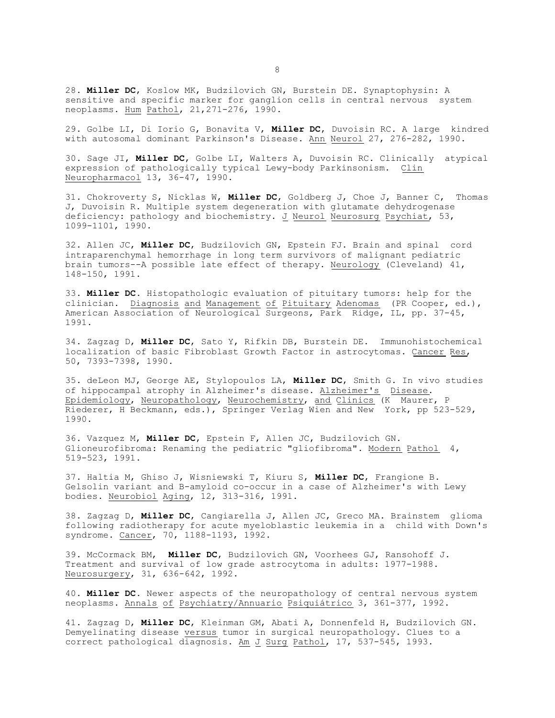28. **Miller DC**, Koslow MK, Budzilovich GN, Burstein DE. Synaptophysin: A sensitive and specific marker for ganglion cells in central nervous system neoplasms. Hum Pathol, 21,271-276, 1990.

29. Golbe LI, Di Iorio G, Bonavita V, **Miller DC**, Duvoisin RC. A large kindred with autosomal dominant Parkinson's Disease. Ann Neurol 27, 276-282, 1990.

30. Sage JI, **Miller DC**, Golbe LI, Walters A, Duvoisin RC. Clinically atypical expression of pathologically typical Lewy-body Parkinsonism. Clin Neuropharmacol 13, 36-47, 1990.

31. Chokroverty S, Nicklas W, **Miller DC**, Goldberg J, Choe J, Banner C, Thomas J, Duvoisin R. Multiple system degeneration with glutamate dehydrogenase deficiency: pathology and biochemistry. J Neurol Neurosurg Psychiat, 53, 1099-1101, 1990.

32. Allen JC, **Miller DC**, Budzilovich GN, Epstein FJ. Brain and spinal cord intraparenchymal hemorrhage in long term survivors of malignant pediatric brain tumors--A possible late effect of therapy. Neurology (Cleveland) 41, 148-150, 1991.

33. **Miller DC**. Histopathologic evaluation of pituitary tumors: help for the clinician. Diagnosis and Management of Pituitary Adenomas (PR Cooper, ed.), American Association of Neurological Surgeons, Park Ridge, IL, pp. 37-45, 1991.

34. Zagzag D, **Miller DC**, Sato Y, Rifkin DB, Burstein DE. Immunohistochemical localization of basic Fibroblast Growth Factor in astrocytomas. Cancer Res, 50, 7393-7398, 1990.

35. deLeon MJ, George AE, Stylopoulos LA, **Miller DC**, Smith G. In vivo studies of hippocampal atrophy in Alzheimer's disease. Alzheimer's Disease. Epidemiology, Neuropathology, Neurochemistry, and Clinics (K Maurer, P Riederer, H Beckmann, eds.), Springer Verlag Wien and New York, pp 523-529, 1990.

36. Vazquez M, **Miller DC**, Epstein F, Allen JC, Budzilovich GN. Glioneurofibroma: Renaming the pediatric "gliofibroma". Modern Pathol 4, 519-523, 1991.

37. Haltia M, Ghiso J, Wisniewski T, Kiuru S, **Miller DC**, Frangione B. Gelsolin variant and B-amyloid co-occur in a case of Alzheimer's with Lewy bodies. Neurobiol Aging, 12, 313-316, 1991.

38. Zagzag D, **Miller DC**, Cangiarella J, Allen JC, Greco MA. Brainstem glioma following radiotherapy for acute myeloblastic leukemia in a child with Down's syndrome. Cancer, 70, 1188-1193, 1992.

39. McCormack BM, **Miller DC**, Budzilovich GN, Voorhees GJ, Ransohoff J. Treatment and survival of low grade astrocytoma in adults: 1977-1988. Neurosurgery, 31, 636-642, 1992.

40. **Miller DC**. Newer aspects of the neuropathology of central nervous system neoplasms. Annals of Psychiatry/Annuario Psiquiátrico 3, 361-377, 1992.

41. Zagzag D, **Miller DC**, Kleinman GM, Abati A, Donnenfeld H, Budzilovich GN. Demyelinating disease versus tumor in surgical neuropathology. Clues to a correct pathological diagnosis. Am J Surg Pathol, 17, 537-545, 1993.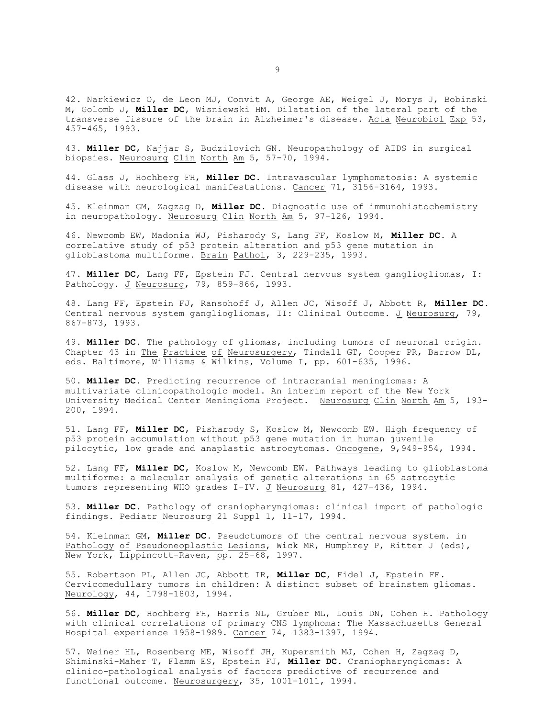42. Narkiewicz O, de Leon MJ, Convit A, George AE, Weigel J, Morys J, Bobinski M, Golomb J, **Miller DC**, Wisniewski HM. Dilatation of the lateral part of the transverse fissure of the brain in Alzheimer's disease. Acta Neurobiol Exp 53, 457-465, 1993.

43. **Miller DC**, Najjar S, Budzilovich GN. Neuropathology of AIDS in surgical biopsies. Neurosurg Clin North Am 5, 57-70, 1994.

44. Glass J, Hochberg FH, **Miller DC**. Intravascular lymphomatosis: A systemic disease with neurological manifestations. Cancer 71, 3156-3164, 1993.

45. Kleinman GM, Zagzag D, **Miller DC**. Diagnostic use of immunohistochemistry in neuropathology. Neurosurg Clin North Am 5, 97-126, 1994.

46. Newcomb EW, Madonia WJ, Pisharody S, Lang FF, Koslow M, **Miller DC**. A correlative study of p53 protein alteration and p53 gene mutation in glioblastoma multiforme. Brain Pathol, 3, 229-235, 1993.

47. **Miller DC**, Lang FF, Epstein FJ. Central nervous system gangliogliomas, I: Pathology. J Neurosurg, 79, 859-866, 1993.

48. Lang FF, Epstein FJ, Ransohoff J, Allen JC, Wisoff J, Abbott R, **Miller DC**. Central nervous system gangliogliomas, II: Clinical Outcome. J Neurosurg, 79, 867-873, 1993.

49. **Miller DC**. The pathology of gliomas, including tumors of neuronal origin. Chapter 43 in The Practice of Neurosurgery, Tindall GT, Cooper PR, Barrow DL, eds. Baltimore, Williams & Wilkins, Volume I, pp. 601-635, 1996.

50. **Miller DC**. Predicting recurrence of intracranial meningiomas: A multivariate clinicopathologic model. An interim report of the New York University Medical Center Meningioma Project. Neurosurg Clin North Am 5, 193- 200, 1994.

51. Lang FF, **Miller DC**, Pisharody S, Koslow M, Newcomb EW. High frequency of p53 protein accumulation without p53 gene mutation in human juvenile pilocytic, low grade and anaplastic astrocytomas. Oncogene, 9,949-954, 1994.

52. Lang FF, **Miller DC**, Koslow M, Newcomb EW. Pathways leading to glioblastoma multiforme: a molecular analysis of genetic alterations in 65 astrocytic tumors representing WHO grades I-IV. J Neurosurg 81, 427-436, 1994.

53. **Miller DC**. Pathology of craniopharyngiomas: clinical import of pathologic findings. Pediatr Neurosurg 21 Suppl 1, 11-17, 1994.

54. Kleinman GM, **Miller DC**. Pseudotumors of the central nervous system. in Pathology of Pseudoneoplastic Lesions, Wick MR, Humphrey P, Ritter J (eds), New York, Lippincott-Raven, pp. 25-68, 1997.

55. Robertson PL, Allen JC, Abbott IR, **Miller DC**, Fidel J, Epstein FE. Cervicomedullary tumors in children: A distinct subset of brainstem gliomas. Neurology, 44, 1798-1803, 1994.

56. **Miller DC**, Hochberg FH, Harris NL, Gruber ML, Louis DN, Cohen H. Pathology with clinical correlations of primary CNS lymphoma: The Massachusetts General Hospital experience 1958-1989. Cancer 74, 1383-1397, 1994.

57. Weiner HL, Rosenberg ME, Wisoff JH, Kupersmith MJ, Cohen H, Zagzag D, Shiminski-Maher T, Flamm ES, Epstein FJ, **Miller DC**. Craniopharyngiomas: A clinico-pathological analysis of factors predictive of recurrence and functional outcome. Neurosurgery, 35, 1001-1011, 1994.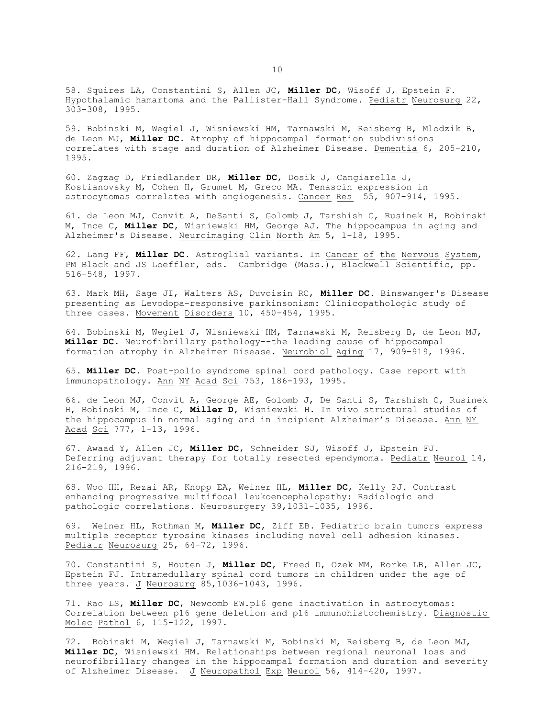58. Squires LA, Constantini S, Allen JC, **Miller DC**, Wisoff J, Epstein F. Hypothalamic hamartoma and the Pallister-Hall Syndrome. Pediatr Neurosurg 22, 303-308, 1995.

59. Bobinski M, Wegiel J, Wisniewski HM, Tarnawski M, Reisberg B, Mlodzik B, de Leon MJ, **Miller DC**. Atrophy of hippocampal formation subdivisions correlates with stage and duration of Alzheimer Disease. Dementia 6, 205-210, 1995.

60. Zagzag D, Friedlander DR, **Miller DC**, Dosik J, Cangiarella J, Kostianovsky M, Cohen H, Grumet M, Greco MA. Tenascin expression in astrocytomas correlates with angiogenesis. Cancer Res 55, 907-914, 1995.

61. de Leon MJ, Convit A, DeSanti S, Golomb J, Tarshish C, Rusinek H, Bobinski M, Ince C, **Miller DC**, Wisniewski HM, George AJ. The hippocampus in aging and Alzheimer's Disease. Neuroimaging Clin North Am 5, 1-18, 1995.

62. Lang FF, **Miller DC**. Astroglial variants. In Cancer of the Nervous System, PM Black and JS Loeffler, eds. Cambridge (Mass.), Blackwell Scientific, pp. 516-548, 1997.

63. Mark MH, Sage JI, Walters AS, Duvoisin RC, **Miller DC**. Binswanger's Disease presenting as Levodopa-responsive parkinsonism: Clinicopathologic study of three cases. Movement Disorders 10, 450-454, 1995.

64. Bobinski M, Wegiel J, Wisniewski HM, Tarnawski M, Reisberg B, de Leon MJ, **Miller DC**. Neurofibrillary pathology--the leading cause of hippocampal formation atrophy in Alzheimer Disease. Neurobiol Aging 17, 909-919, 1996.

65. **Miller DC**. Post-polio syndrome spinal cord pathology. Case report with immunopathology. Ann NY Acad Sci 753, 186-193, 1995.

66. de Leon MJ, Convit A, George AE, Golomb J, De Santi S, Tarshish C, Rusinek H, Bobinski M, Ince C, **Miller D**, Wisniewski H. In vivo structural studies of the hippocampus in normal aging and in incipient Alzheimer's Disease. Ann NY Acad Sci 777, 1-13, 1996.

67. Awaad Y, Allen JC, **Miller DC**, Schneider SJ, Wisoff J, Epstein FJ. Deferring adjuvant therapy for totally resected ependymoma. Pediatr Neurol 14, 216-219, 1996.

68. Woo HH, Rezai AR, Knopp EA, Weiner HL, **Miller DC**, Kelly PJ. Contrast enhancing progressive multifocal leukoencephalopathy: Radiologic and pathologic correlations. Neurosurgery 39,1031-1035, 1996.

69. Weiner HL, Rothman M, **Miller DC**, Ziff EB. Pediatric brain tumors express multiple receptor tyrosine kinases including novel cell adhesion kinases. Pediatr Neurosurg 25, 64-72, 1996.

70. Constantini S, Houten J, **Miller DC**, Freed D, Ozek MM, Rorke LB, Allen JC, Epstein FJ. Intramedullary spinal cord tumors in children under the age of three years. J Neurosurg 85,1036-1043, 1996.

71. Rao LS, **Miller DC**, Newcomb EW.p16 gene inactivation in astrocytomas: Correlation between p16 gene deletion and p16 immunohistochemistry. Diagnostic Molec Pathol 6, 115-122, 1997.

72. Bobinski M, Wegiel J, Tarnawski M, Bobinski M, Reisberg B, de Leon MJ, **Miller DC**, Wisniewski HM. Relationships between regional neuronal loss and neurofibrillary changes in the hippocampal formation and duration and severity of Alzheimer Disease. J Neuropathol Exp Neurol 56, 414-420, 1997.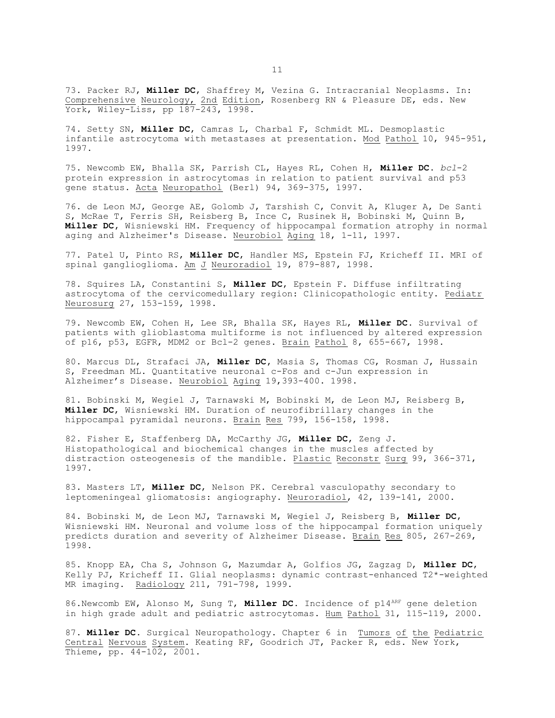73. Packer RJ, **Miller DC**, Shaffrey M, Vezina G. Intracranial Neoplasms. In: Comprehensive Neurology, 2nd Edition, Rosenberg RN & Pleasure DE, eds. New York, Wiley-Liss, pp 187-243, 1998.

74. Setty SN, **Miller DC**, Camras L, Charbal F, Schmidt ML. Desmoplastic infantile astrocytoma with metastases at presentation. Mod Pathol 10, 945-951, 1997.

75. Newcomb EW, Bhalla SK, Parrish CL, Hayes RL, Cohen H, **Miller DC**. *bcl*-2 protein expression in astrocytomas in relation to patient survival and p53 gene status. Acta Neuropathol (Berl) 94, 369-375, 1997.

76. de Leon MJ, George AE, Golomb J, Tarshish C, Convit A, Kluger A, De Santi S, McRae T, Ferris SH, Reisberg B, Ince C, Rusinek H, Bobinski M, Quinn B, **Miller DC,** Wisniewski HM. Frequency of hippocampal formation atrophy in normal aging and Alzheimer's Disease. Neurobiol Aging 18, 1-11, 1997.

77. Patel U, Pinto RS, **Miller DC**, Handler MS, Epstein FJ, Kricheff II. MRI of spinal ganglioglioma. Am J Neuroradiol 19, 879-887, 1998.

78. Squires LA, Constantini S, **Miller DC**, Epstein F. Diffuse infiltrating astrocytoma of the cervicomedullary region: Clinicopathologic entity. Pediatr Neurosurg 27, 153-159, 1998.

79. Newcomb EW, Cohen H, Lee SR, Bhalla SK, Hayes RL, **Miller DC**. Survival of patients with glioblastoma multiforme is not influenced by altered expression of p16, p53, EGFR, MDM2 or Bcl-2 genes. Brain Pathol 8, 655-667, 1998.

80. Marcus DL, Strafaci JA, **Miller DC,** Masia S, Thomas CG, Rosman J, Hussain S, Freedman ML. Quantitative neuronal c-Fos and c-Jun expression in Alzheimer's Disease. Neurobiol Aging 19,393-400. 1998.

81. Bobinski M, Wegiel J, Tarnawski M, Bobinski M, de Leon MJ, Reisberg B, **Miller DC**, Wisniewski HM. Duration of neurofibrillary changes in the hippocampal pyramidal neurons. Brain Res 799, 156-158, 1998.

82. Fisher E, Staffenberg DA, McCarthy JG, **Miller DC**, Zeng J. Histopathological and biochemical changes in the muscles affected by distraction osteogenesis of the mandible. Plastic Reconstr Surg 99, 366-371, 1997.

83. Masters LT, **Miller DC**, Nelson PK. Cerebral vasculopathy secondary to leptomeningeal gliomatosis: angiography. Neuroradiol, 42, 139-141, 2000.

84. Bobinski M, de Leon MJ, Tarnawski M, Wegiel J, Reisberg B, **Miller DC**, Wisniewski HM. Neuronal and volume loss of the hippocampal formation uniquely predicts duration and severity of Alzheimer Disease. Brain Res 805, 267-269, 1998.

85. Knopp EA, Cha S, Johnson G, Mazumdar A, Golfios JG, Zagzag D, **Miller DC**, Kelly PJ, Kricheff II. Glial neoplasms: dynamic contrast-enhanced T2\*-weighted MR imaging. Radiology 211, 791-798, 1999.

86. Newcomb EW, Alonso M, Sung T, Miller DC. Incidence of p14<sup>ARF</sup> gene deletion in high grade adult and pediatric astrocytomas. Hum Pathol 31, 115-119, 2000.

87. **Miller DC**. Surgical Neuropathology. Chapter 6 in Tumors of the Pediatric Central Nervous System. Keating RF, Goodrich JT, Packer R, eds. New York, Thieme, pp. 44-102, 2001.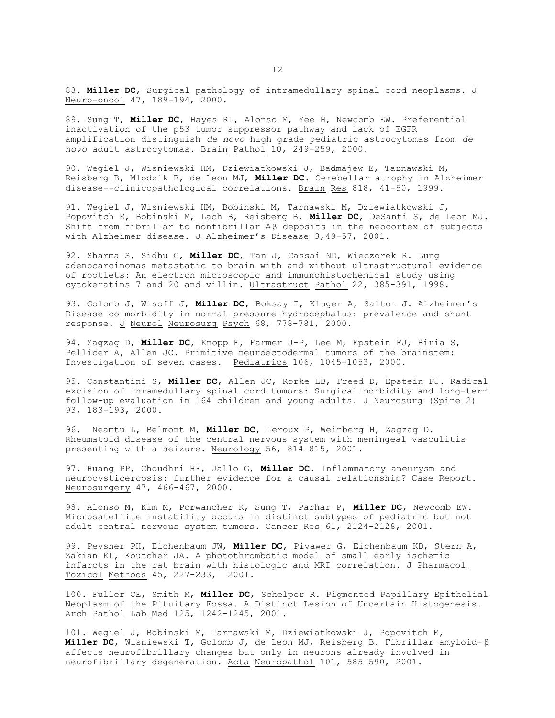88. **Miller DC**, Surgical pathology of intramedullary spinal cord neoplasms. J Neuro-oncol 47, 189-194, 2000.

89. Sung T, **Miller DC**, Hayes RL, Alonso M, Yee H, Newcomb EW. Preferential inactivation of the p53 tumor suppressor pathway and lack of EGFR amplification distinguish *de novo* high grade pediatric astrocytomas from *de novo* adult astrocytomas. Brain Pathol 10, 249-259, 2000.

90. Wegiel J, Wisniewski HM, Dziewiatkowski J, Badmajew E, Tarnawski M, Reisberg B, Mlodzik B, de Leon MJ, **Miller DC**. Cerebellar atrophy in Alzheimer disease--clinicopathological correlations. Brain Res 818, 41-50, 1999.

91. Wegiel J, Wisniewski HM, Bobinski M, Tarnawski M, Dziewiatkowski J, Popovitch E, Bobinski M, Lach B, Reisberg B, **Miller DC**, DeSanti S, de Leon MJ. Shift from fibrillar to nonfibrillar  $A\beta$  deposits in the neocortex of subjects with Alzheimer disease. J Alzheimer's Disease 3,49-57, 2001.

92. Sharma S, Sidhu G, **Miller DC**, Tan J, Cassai ND, Wieczorek R. Lung adenocarcinomas metastatic to brain with and without ultrastructural evidence of rootlets: An electron microscopic and immunohistochemical study using cytokeratins 7 and 20 and villin. Ultrastruct Pathol 22, 385-391, 1998.

93. Golomb J, Wisoff J, **Miller DC**, Boksay I, Kluger A, Salton J. Alzheimer's Disease co-morbidity in normal pressure hydrocephalus: prevalence and shunt response. J Neurol Neurosurg Psych 68, 778-781, 2000.

94. Zagzag D, **Miller DC**, Knopp E, Farmer J-P, Lee M, Epstein FJ, Biria S, Pellicer A, Allen JC. Primitive neuroectodermal tumors of the brainstem: Investigation of seven cases. Pediatrics 106, 1045-1053, 2000.

95. Constantini S, **Miller DC**, Allen JC, Rorke LB, Freed D, Epstein FJ. Radical excision of inramedullary spinal cord tumors: Surgical morbidity and long-term follow-up evaluation in 164 children and young adults. J Neurosurg (Spine 2) 93, 183-193, 2000.

96. Neamtu L, Belmont M, **Miller DC**, Leroux P, Weinberg H, Zagzag D. Rheumatoid disease of the central nervous system with meningeal vasculitis presenting with a seizure. Neurology 56, 814-815, 2001.

97. Huang PP, Choudhri HF, Jallo G, **Miller DC**. Inflammatory aneurysm and neurocysticercosis: further evidence for a causal relationship? Case Report. Neurosurgery 47, 466-467, 2000.

98. Alonso M, Kim M, Porwancher K, Sung T, Parhar P, **Miller DC**, Newcomb EW. Microsatellite instability occurs in distinct subtypes of pediatric but not adult central nervous system tumors. Cancer Res 61, 2124-2128, 2001.

99. Pevsner PH, Eichenbaum JW, **Miller DC**, Pivawer G, Eichenbaum KD, Stern A, Zakian KL, Koutcher JA. A photothrombotic model of small early ischemic infarcts in the rat brain with histologic and MRI correlation. J Pharmacol Toxicol Methods 45, 227-233, 2001.

100. Fuller CE, Smith M, **Miller DC**, Schelper R. Pigmented Papillary Epithelial Neoplasm of the Pituitary Fossa. A Distinct Lesion of Uncertain Histogenesis. Arch Pathol Lab Med 125, 1242-1245, 2001.

101. Wegiel J, Bobinski M, Tarnawski M, Dziewiatkowski J, Popovitch E, **Miller DC**, Wisniewski T, Golomb J, de Leon MJ, Reisberg B. Fibrillar amyloid- â affects neurofibrillary changes but only in neurons already involved in neurofibrillary degeneration. Acta Neuropathol 101, 585-590, 2001.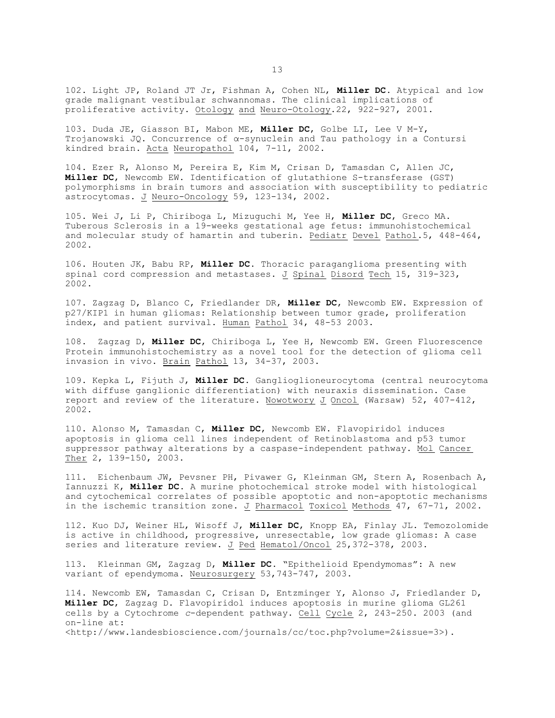102. Light JP, Roland JT Jr, Fishman A, Cohen NL, **Miller DC**. Atypical and low grade malignant vestibular schwannomas. The clinical implications of proliferative activity. Otology and Neuro-Otology.22, 922-927, 2001.

103. Duda JE, Giasson BI, Mabon ME, **Miller DC**, Golbe LI, Lee V M-Y, Trojanowski JQ. Concurrence of  $\alpha$ -synuclein and Tau pathology in a Contursi kindred brain. Acta Neuropathol 104, 7-11, 2002.

104. Ezer R, Alonso M, Pereira E, Kim M, Crisan D, Tamasdan C, Allen JC, **Miller DC**, Newcomb EW. Identification of glutathione S-transferase (GST) polymorphisms in brain tumors and association with susceptibility to pediatric astrocytomas. J Neuro-Oncology 59, 123-134, 2002.

105. Wei J, Li P, Chiriboga L, Mizuguchi M, Yee H, **Miller DC**, Greco MA. Tuberous Sclerosis in a 19-weeks gestational age fetus: immunohistochemical and molecular study of hamartin and tuberin. Pediatr Devel Pathol.5, 448-464, 2002.

106. Houten JK, Babu RP, **Miller DC**. Thoracic paraganglioma presenting with spinal cord compression and metastases. J Spinal Disord Tech 15, 319-323, 2002.

107. Zagzag D, Blanco C, Friedlander DR, **Miller DC**, Newcomb EW. Expression of p27/KIP1 in human gliomas: Relationship between tumor grade, proliferation index, and patient survival. Human Pathol 34, 48-53 2003.

108. Zagzag D, **Miller DC**, Chiriboga L, Yee H, Newcomb EW. Green Fluorescence Protein immunohistochemistry as a novel tool for the detection of glioma cell invasion in vivo. Brain Pathol 13, 34-37, 2003.

109. Kepka L, Fijuth J, **Miller DC**. Ganglioglioneurocytoma (central neurocytoma with diffuse ganglionic differentiation) with neuraxis dissemination. Case report and review of the literature. Nowotwory J Oncol (Warsaw) 52, 407-412, 2002.

110. Alonso M, Tamasdan C, **Miller DC**, Newcomb EW. Flavopiridol induces apoptosis in glioma cell lines independent of Retinoblastoma and p53 tumor suppressor pathway alterations by a caspase-independent pathway. Mol Cancer Ther 2, 139-150, 2003.

111. Eichenbaum JW, Pevsner PH, Pivawer G, Kleinman GM, Stern A, Rosenbach A, Iannuzzi K, **Miller DC**. A murine photochemical stroke model with histological and cytochemical correlates of possible apoptotic and non-apoptotic mechanisms in the ischemic transition zone. J Pharmacol Toxicol Methods 47, 67-71, 2002.

112. Kuo DJ, Weiner HL, Wisoff J, **Miller DC**, Knopp EA, Finlay JL. Temozolomide is active in childhood, progressive, unresectable, low grade gliomas: A case series and literature review. J Ped Hematol/Oncol 25,372-378, 2003.

113. Kleinman GM, Zagzag D, **Miller DC**. "Epithelioid Ependymomas": A new variant of ependymoma. Neurosurgery 53,743-747, 2003.

114. Newcomb EW, Tamasdan C, Crisan D, Entzminger Y, Alonso J, Friedlander D, **Miller DC**, Zagzag D. Flavopiridol induces apoptosis in murine glioma GL261 cells by a Cytochrome *c*-dependent pathway. Cell Cycle 2, 243-250. 2003 (and on-line at:

<http://www.landesbioscience.com/journals/cc/toc.php?volume=2&issue=3>).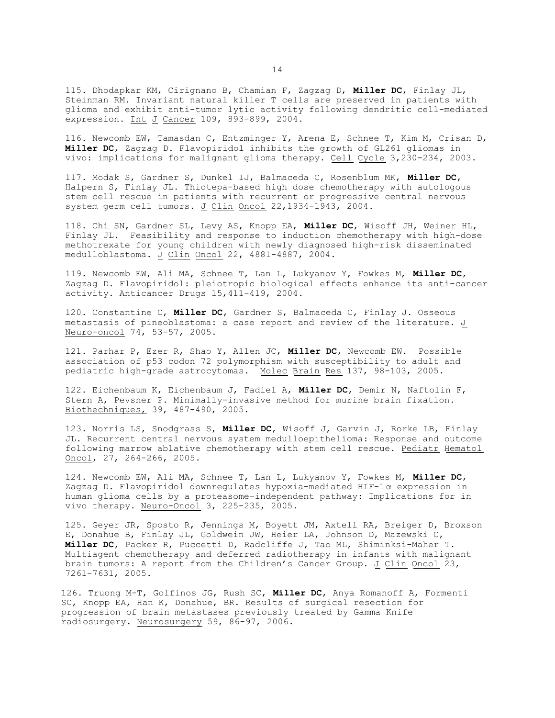115. Dhodapkar KM, Cirignano B, Chamian F, Zagzag D, **Miller DC**, Finlay JL, Steinman RM. Invariant natural killer T cells are preserved in patients with glioma and exhibit anti-tumor lytic activity following dendritic cell-mediated expression. Int J Cancer 109, 893-899, 2004.

116. Newcomb EW, Tamasdan C, Entzminger Y, Arena E, Schnee T, Kim M, Crisan D, **Miller DC**, Zagzag D. Flavopiridol inhibits the growth of GL261 gliomas in vivo: implications for malignant glioma therapy. Cell Cycle 3,230-234, 2003.

117. Modak S, Gardner S, Dunkel IJ, Balmaceda C, Rosenblum MK, **Miller DC**, Halpern S, Finlay JL. Thiotepa-based high dose chemotherapy with autologous stem cell rescue in patients with recurrent or progressive central nervous system germ cell tumors. J Clin Oncol 22,1934-1943, 2004.

118. Chi SN, Gardner SL, Levy AS, Knopp EA, **Miller DC**, Wisoff JH, Weiner HL, Finlay JL. Feasibility and response to induction chemotherapy with high-dose methotrexate for young children with newly diagnosed high-risk disseminated medulloblastoma. J Clin Oncol 22, 4881-4887, 2004.

119. Newcomb EW, Ali MA, Schnee T, Lan L, Lukyanov Y, Fowkes M, **Miller DC**, Zagzag D. Flavopiridol: pleiotropic biological effects enhance its anti-cancer activity. Anticancer Drugs 15,411-419, 2004.

120. Constantine C, **Miller DC**, Gardner S, Balmaceda C, Finlay J. Osseous metastasis of pineoblastoma: a case report and review of the literature. J Neuro-oncol 74, 53-57, 2005.

121. Parhar P, Ezer R, Shao Y, Allen JC, **Miller DC**, Newcomb EW. Possible association of p53 codon 72 polymorphism with susceptibility to adult and pediatric high-grade astrocytomas. Molec Brain Res 137, 98-103, 2005.

122. Eichenbaum K, Eichenbaum J, Fadiel A, **Miller DC**, Demir N, Naftolin F, Stern A, Pevsner P. Minimally-invasive method for murine brain fixation. Biothechniques, 39, 487-490, 2005.

123. Norris LS, Snodgrass S, **Miller DC**, Wisoff J, Garvin J, Rorke LB, Finlay JL. Recurrent central nervous system medulloepithelioma: Response and outcome following marrow ablative chemotherapy with stem cell rescue. Pediatr Hematol Oncol, 27, 264-266, 2005.

124. Newcomb EW, Ali MA, Schnee T, Lan L, Lukyanov Y, Fowkes M, **Miller DC**, Zagzag D. Flavopiridol downregulates hypoxia-mediated HIF-1 $\alpha$  expression in human glioma cells by a proteasome-independent pathway: Implications for in vivo therapy. Neuro-Oncol 3, 225-235, 2005.

125. Geyer JR, Sposto R, Jennings M, Boyett JM, Axtell RA, Breiger D, Broxson E, Donahue B, Finlay JL, Goldwein JW, Heier LA, Johnson D, Mazewski C, **Miller DC**, Packer R, Puccetti D, Radcliffe J, Tao ML, Shiminksi-Maher T. Multiagent chemotherapy and deferred radiotherapy in infants with malignant brain tumors: A report from the Children's Cancer Group. J Clin Oncol 23, 7261-7631, 2005.

126. Truong M-T, Golfinos JG, Rush SC, **Miller DC**, Anya Romanoff A, Formenti SC, Knopp EA, Han K, Donahue, BR. Results of surgical resection for progression of brain metastases previously treated by Gamma Knife radiosurgery. Neurosurgery 59, 86-97, 2006.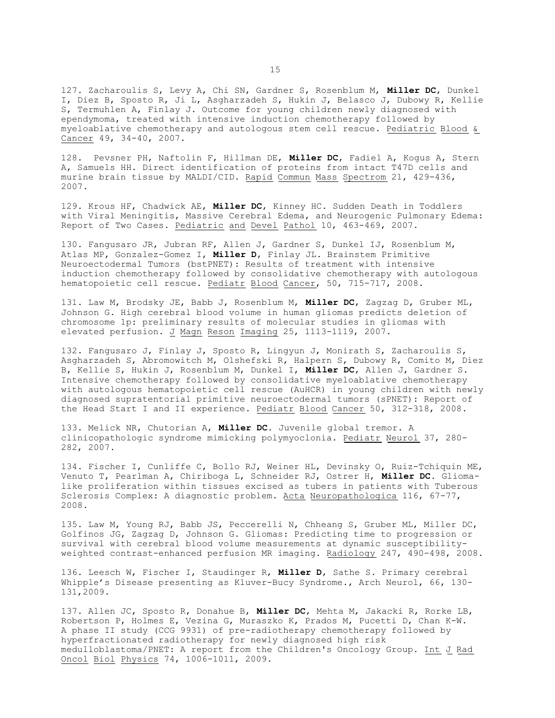127. Zacharoulis S, Levy A, Chi SN, Gardner S, Rosenblum M, **Miller DC**, Dunkel I, Diez B, Sposto R, Ji L, Asgharzadeh S, Hukin J, Belasco J, Dubowy R, Kellie S, Termuhlen A, Finlay J. Outcome for young children newly diagnosed with ependymoma, treated with intensive induction chemotherapy followed by myeloablative chemotherapy and autologous stem cell rescue. Pediatric Blood & Cancer 49, 34-40, 2007.

128. Pevsner PH, Naftolin F, Hillman DE, **Miller DC**, Fadiel A, Kogus A, Stern A, Samuels HH. Direct identification of proteins from intact T47D cells and murine brain tissue by MALDI/CID. Rapid Commun Mass Spectrom 21, 429-436, 2007.

129. Krous HF, Chadwick AE, **Miller DC**, Kinney HC. Sudden Death in Toddlers with Viral Meningitis, Massive Cerebral Edema, and Neurogenic Pulmonary Edema: Report of Two Cases. Pediatric and Devel Pathol 10, 463-469, 2007.

130. Fangusaro JR, Jubran RF, Allen J, Gardner S, Dunkel IJ, Rosenblum M, Atlas MP, Gonzalez-Gomez I, **Miller D**, Finlay JL. Brainstem Primitive Neuroectodermal Tumors (bstPNET): Results of treatment with intensive induction chemotherapy followed by consolidative chemotherapy with autologous hematopoietic cell rescue. Pediatr Blood Cancer, 50, 715-717, 2008.

131. Law M, Brodsky JE, Babb J, Rosenblum M, **Miller DC**, Zagzag D, Gruber ML, Johnson G. High cerebral blood volume in human gliomas predicts deletion of chromosome 1p: preliminary results of molecular studies in gliomas with elevated perfusion. J Magn Reson Imaging 25, 1113-1119, 2007.

132. Fangusaro J, Finlay J, Sposto R, Lingyun J, Monirath S, Zacharoulis S, Asgharzadeh S, Abromowitch M, Olshefski R, Halpern S, Dubowy R, Comito M, Diez B, Kellie S, Hukin J, Rosenblum M, Dunkel I, **Miller DC**, Allen J, Gardner S. Intensive chemotherapy followed by consolidative myeloablative chemotherapy with autologous hematopoietic cell rescue (AuHCR) in young children with newly diagnosed supratentorial primitive neuroectodermal tumors (sPNET): Report of the Head Start I and II experience. Pediatr Blood Cancer 50, 312-318, 2008.

133. Melick NR, Chutorian A, **Miller DC.** Juvenile global tremor. A clinicopathologic syndrome mimicking polymyoclonia. Pediatr Neurol 37, 280- 282, 2007.

134. Fischer I, Cunliffe C, Bollo RJ, Weiner HL, Devinsky O, Ruiz-Tchiquin ME, Venuto T, Pearlman A, Chiriboga L, Schneider RJ, Ostrer H, **Miller DC.** Gliomalike proliferation within tissues excised as tubers in patients with Tuberous Sclerosis Complex: A diagnostic problem. Acta Neuropathologica 116, 67-77, 2008.

135. Law M, Young RJ, Babb JS, Peccerelli N, Chheang S, Gruber ML, Miller DC, Golfinos JG, Zagzag D, Johnson G. Gliomas: Predicting time to progression or survival with cerebral blood volume measurements at dynamic susceptibilityweighted contrast-enhanced perfusion MR imaging. Radiology 247, 490-498, 2008.

136. Leesch W, Fischer I, Staudinger R, **Miller D**, Sathe S. Primary cerebral Whipple's Disease presenting as Kluver-Bucy Syndrome., Arch Neurol, 66, 130- 131,2009.

137. Allen JC, Sposto R, Donahue B, **Miller DC**, Mehta M, Jakacki R, Rorke LB, Robertson P, Holmes E, Vezina G, Muraszko K, Prados M, Pucetti D, Chan K-W. A phase II study (CCG 9931) of pre-radiotherapy chemotherapy followed by hyperfractionated radiotherapy for newly diagnosed high risk medulloblastoma/PNET: A report from the Children's Oncology Group. Int J Rad Oncol Biol Physics 74, 1006-1011, 2009.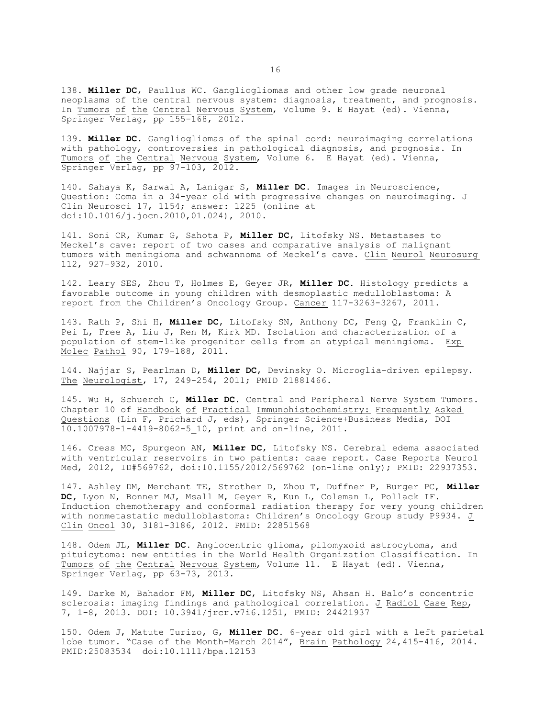138. **Miller DC**, Paullus WC. Gangliogliomas and other low grade neuronal neoplasms of the central nervous system: diagnosis, treatment, and prognosis. In Tumors of the Central Nervous System, Volume 9. E Hayat (ed). Vienna, Springer Verlag,  $p$ pp 155-168, 2012.

139. **Miller DC.** Gangliogliomas of the spinal cord: neuroimaging correlations with pathology, controversies in pathological diagnosis, and prognosis. In Tumors of the Central Nervous System, Volume 6. E Hayat (ed). Vienna, Springer Verlag, pp 97-103, 2012.

140. Sahaya K, Sarwal A, Lanigar S, **Miller DC.** Images in Neuroscience, Question: Coma in a 34-year old with progressive changes on neuroimaging. J Clin Neurosci 17, 1154; answer: 1225 (online at doi:10.1016/j.jocn.2010,01.024), 2010.

141. Soni CR, Kumar G, Sahota P, **Miller DC**, Litofsky NS. Metastases to Meckel's cave: report of two cases and comparative analysis of malignant tumors with meningioma and schwannoma of Meckel's cave. Clin Neurol Neurosurg 112, 927-932, 2010.

142. Leary SES, Zhou T, Holmes E, Geyer JR, **Miller DC.** Histology predicts a favorable outcome in young children with desmoplastic medulloblastoma: A report from the Children's Oncology Group. Cancer 117-3263-3267, 2011.

143. Rath P, Shi H, **Miller DC**, Litofsky SN, Anthony DC, Feng Q, Franklin C, Pei L, Free A, Liu J, Ren M, Kirk MD. Isolation and characterization of a population of stem-like progenitor cells from an atypical meningioma. Exp Molec Pathol 90, 179-188, 2011.

144. Najjar S, Pearlman D, **Miller DC**, Devinsky O. Microglia-driven epilepsy. The Neurologist, 17, 249-254, 2011; PMID 21881466.

145. Wu H, Schuerch C, **Miller DC.** Central and Peripheral Nerve System Tumors. Chapter 10 of Handbook of Practical Immunohistochemistry: Frequently Asked Questions (Lin F, Prichard J, eds), Springer Science+Business Media, DOI 10.1007978-1-4419-8062-5\_10, print and on-line, 2011.

146. Cress MC, Spurgeon AN, **Miller DC**, Litofsky NS. Cerebral edema associated with ventricular reservoirs in two patients: case report. Case Reports Neurol Med, 2012, ID#569762, doi:10.1155/2012/569762 (on-line only); PMID: 22937353.

147. Ashley DM, Merchant TE, Strother D, Zhou T, Duffner P, Burger PC, **Miller DC,** Lyon N, Bonner MJ, Msall M, Geyer R, Kun L, Coleman L, Pollack IF. Induction chemotherapy and conformal radiation therapy for very young children with nonmetastatic medulloblastoma: Children's Oncology Group study P9934. J Clin Oncol 30, 3181-3186, 2012. PMID: 22851568

148. Odem JL, **Miller DC.** Angiocentric glioma, pilomyxoid astrocytoma, and pituicytoma: new entities in the World Health Organization Classification. In Tumors of the Central Nervous System, Volume 11. E Hayat (ed). Vienna, Springer Verlag, pp 63-73, 2013.

149. Darke M, Bahador FM, **Miller DC**, Litofsky NS, Ahsan H. Balo's concentric sclerosis: imaging findings and pathological correlation. J Radiol Case Rep, 7, 1-8, 2013. DOI: 10.3941/jrcr.v7i6.1251, PMID: 24421937

150. Odem J, Matute Turizo, G, **Miller DC.** 6-year old girl with a left parietal lobe tumor. "Case of the Month-March 2014", Brain Pathology 24,415-416, 2014. PMID:25083534 doi:10.1111/bpa.12153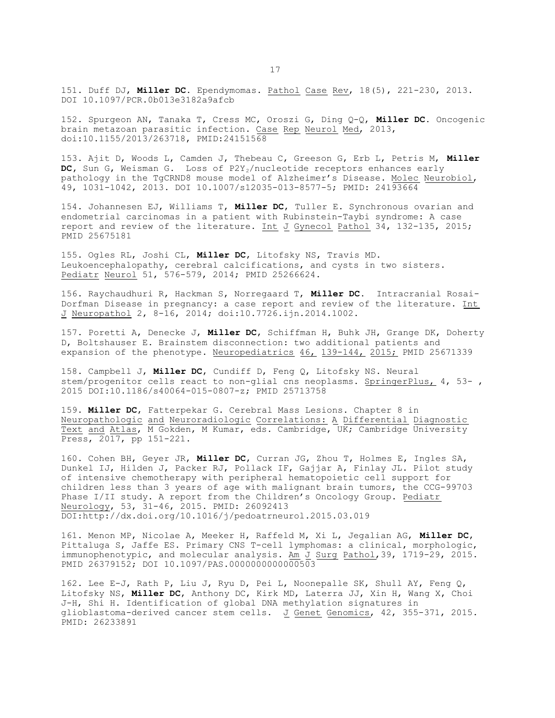151. Duff DJ, **Miller DC.** Ependymomas. Pathol Case Rev, 18(5), 221-230, 2013. DOI 10.1097/PCR.0b013e3182a9afcb

152. Spurgeon AN, Tanaka T, Cress MC, Oroszi G, Ding Q-Q, **Miller DC.** Oncogenic brain metazoan parasitic infection. Case Rep Neurol Med, 2013, doi:10.1155/2013/263718, PMID:24151568

153. Ajit D, Woods L, Camden J, Thebeau C, Greeson G, Erb L, Petris M, **Miller** DC, Sun G, Weisman G. Loss of P2Y<sub>2</sub>/nucleotide receptors enhances early pathology in the TgCRND8 mouse model of Alzheimer's Disease. Molec Neurobiol, 49, 1031-1042, 2013. DOI 10.1007/s12035-013-8577-5; PMID: 24193664

154. Johannesen EJ, Williams T, **Miller DC**, Tuller E. Synchronous ovarian and endometrial carcinomas in a patient with Rubinstein-Taybi syndrome: A case report and review of the literature. Int J Gynecol Pathol 34, 132-135, 2015; PMID 25675181

155. Ogles RL, Joshi CL, **Miller DC**, Litofsky NS, Travis MD. Leukoencephalopathy, cerebral calcifications, and cysts in two sisters. Pediatr Neurol 51, 576-579, 2014; PMID 25266624.

156. Raychaudhuri R, Hackman S, Norregaard T, **Miller DC.** Intracranial Rosai-Dorfman Disease in pregnancy: a case report and review of the literature. Int J Neuropathol 2, 8-16, 2014; doi:10.7726.ijn.2014.1002.

157. Poretti A, Denecke J, **Miller DC**, Schiffman H, Buhk JH, Grange DK, Doherty D, Boltshauser E. Brainstem disconnection: two additional patients and expansion of the phenotype. Neuropediatrics 46, 139-144, 2015; PMID 25671339

158. Campbell J, **Miller DC**, Cundiff D, Feng Q, Litofsky NS. Neural stem/progenitor cells react to non-glial cns neoplasms. SpringerPlus, 4, 53- , 2015 DOI:10.1186/s40064-015-0807-z; PMID 25713758

159. **Miller DC**, Fatterpekar G. Cerebral Mass Lesions. Chapter 8 in Neuropathologic and Neuroradiologic Correlations: A Differential Diagnostic Text and Atlas, M Gokden, M Kumar, eds. Cambridge, UK; Cambridge University Press, 2017, pp 151-221.

160. Cohen BH, Geyer JR, **Miller DC**, Curran JG, Zhou T, Holmes E, Ingles SA, Dunkel IJ, Hilden J, Packer RJ, Pollack IF, Gajjar A, Finlay JL. Pilot study of intensive chemotherapy with peripheral hematopoietic cell support for children less than 3 years of age with malignant brain tumors, the CCG-99703 Phase I/II study. A report from the Children's Oncology Group. Pediatr Neurology, 53, 31-46, 2015. PMID: 26092413 DOI:http://dx.doi.org/10.1016/j/pedoatrneurol.2015.03.019

161. Menon MP, Nicolae A, Meeker H, Raffeld M, Xi L, Jegalian AG, **Miller DC**, Pittaluga S, Jaffe ES. Primary CNS T-cell lymphomas: a clinical, morphologic, immunophenotypic, and molecular analysis. Am J Surg Pathol, 39, 1719-29, 2015. PMID 26379152; DOI 10.1097/PAS.0000000000000503

162. Lee E-J, Rath P, Liu J, Ryu D, Pei L, Noonepalle SK, Shull AY, Feng Q, Litofsky NS, **Miller DC**, Anthony DC, Kirk MD, Laterra JJ, Xin H, Wang X, Choi J-H, Shi H. Identification of global DNA methylation signatures in glioblastoma-derived cancer stem cells. J Genet Genomics, 42, 355-371, 2015. PMID: 26233891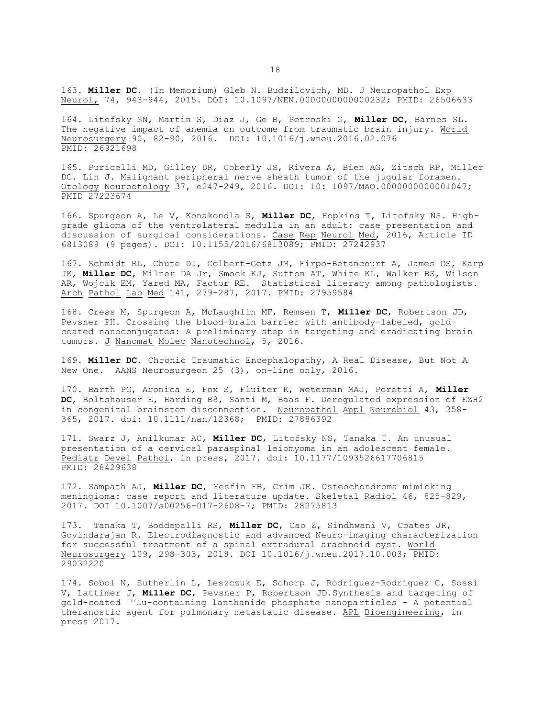163. **Miller DC.** (In Memorium) Gleb N. Budzilovich, MD. J Neuropathol Exp Neurol, 74, 943-944, 2015. DOI: 10.1097/NEN.0000000000000232; PMID: 26506633

164. Litofsky SN, Martin S, Diaz J, Ge B, Petroski G, **Miller DC**, Barnes SL. The negative impact of anemia on outcome from traumatic brain injury. World Neurosurgery 90, 82-90, 2016. DOI: 10.1016/j.wneu.2016.02.076 PMID: 26921698

165. Puricelli MD, Gilley DR, Coberly JS, Rivera A, Bien AG, Zitsch RP, Miller DC. Lin J. Malignant peripheral nerve sheath tumor of the jugular foramen. Otology Neurootology 37, e247-249, 2016. DOI: 10: 1097/MAO.0000000000001047; PMID 27223674

166. Spurgeon A, Le V, Konakondla S, **Miller DC**, Hopkins T, Litofsky NS. Highgrade glioma of the ventrolateral medulla in an adult: case presentation and discussion of surgical considerations. Case Rep Neurol Med, 2016, Article ID 6813089 (9 pages). DOI: 10.1155/2016/6813089; PMID: 27242937

167. Schmidt RL, Chute DJ, Colbert-Getz JM, Firpo-Betancourt A, James DS, Karp JK, **Miller DC**, Milner DA Jr, Smock KJ, Sutton AT, White KL, Walker BS, Wilson AR, Wojcik EM, Yared MA, Factor RE. Statistical literacy among pathologists. Arch Pathol Lab Med 141, 279-287, 2017. PMID: 27959584

168. Cress M, Spurgeon A, McLaughlin MF, Remsen T, **Miller DC**, Robertson JD, Pevsner PH. Crossing the blood-brain barrier with antibody-labeled, goldcoated nanoconjugates: A preliminary step in targeting and eradicating brain tumors. J Nanomat Molec Nanotechnol, 5, 2016.

169. **Miller DC.** Chronic Traumatic Encephalopathy, A Real Disease, But Not A New One. AANS Neurosurgeon 25 (3), on-line only, 2016.

170. Barth PG, Aronica E, Fox S, Fluiter K, Weterman MAJ, Poretti A, **Miller DC**, Boltshauser E, Harding B8, Santi M, Baas F. Deregulated expression of EZH2 in congenital brainstem disconnection. Neuropathol Appl Neurobiol 43, 358- 365, 2017. doi: 10.1111/nan/12368; PMID: 27886392

171. Swarz J, Anilkumar AC, **Miller DC**, Litofsky NS, Tanaka T. An unusual presentation of a cervical paraspinal leiomyoma in an adolescent female. Pediatr Devel Pathol, in press, 2017. doi: 10.1177/1093526617706815 PMID: 28429638

172. Sampath AJ, **Miller DC**, Mesfin FB, Crim JR. Osteochondroma mimicking meningioma: case report and literature update. Skeletal Radiol 46, 825-829, 2017. DOI 10.1007/s00256-017-2608-7; PMID: 28275813

173. Tanaka T, Boddepalli RS, **Miller DC**, Cao Z, Sindhwani V, Coates JR, Govindarajan R. Electrodiagnostic and advanced Neuro-imaging characterization for successful treatment of a spinal extradural arachnoid cyst. World Neurosurgery 109, 298-303, 2018. DOI 10.1016/j.wneu.2017.10.003; PMID: 29032220

174. Sobol N, Sutherlin L, Leszczuk E, Schorp J, Rodriguez-Rodriguez C, Sossi V, Lattimer J, **Miller DC**, Pevsner P, Robertson JD.Synthesis and targeting of gold-coated <sup>177</sup>Lu-containing lanthanide phosphate nanoparticles - A potential theranostic agent for pulmonary metastatic disease. APL Bioengineering, in press 2017.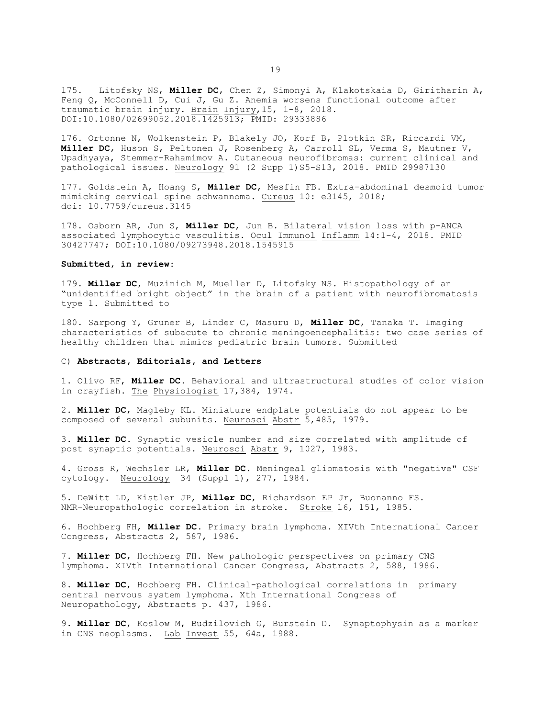175. Litofsky NS, **Miller DC**, Chen Z, Simonyi A, Klakotskaia D, Giritharin A, Feng Q, McConnell D, Cui J, Gu Z. Anemia worsens functional outcome after traumatic brain injury. Brain Injury, 15, 1-8, 2018. DOI:10.1080/02699052.2018.1425913; PMID: 29333886

176. Ortonne N, Wolkenstein P, Blakely JO, Korf B, Plotkin SR, Riccardi VM, **Miller DC**, Huson S, Peltonen J, Rosenberg A, Carroll SL, Verma S, Mautner V, Upadhyaya, Stemmer-Rahamimov A. Cutaneous neurofibromas: current clinical and pathological issues. Neurology 91 (2 Supp 1)S5-S13, 2018. PMID 29987130

177. Goldstein A, Hoang S, **Miller DC**, Mesfin FB. Extra-abdominal desmoid tumor mimicking cervical spine schwannoma. Cureus 10: e3145, 2018; doi: 10.7759/cureus.3145

178. Osborn AR, Jun S, **Miller DC**, Jun B. Bilateral vision loss with p-ANCA associated lymphocytic vasculitis. Ocul Immunol Inflamm 14:1-4, 2018. PMID 30427747; DOI:10.1080/09273948.2018.1545915

## **Submitted, in review:**

179. **Miller DC**, Muzinich M, Mueller D, Litofsky NS. Histopathology of an "unidentified bright object" in the brain of a patient with neurofibromatosis type 1. Submitted to

180. Sarpong Y, Gruner B, Linder C, Masuru D, **Miller DC**, Tanaka T. Imaging characteristics of subacute to chronic meningoencephalitis: two case series of healthy children that mimics pediatric brain tumors. Submitted

## C) **Abstracts, Editorials, and Letters**

1. Olivo RF, **Miller DC**. Behavioral and ultrastructural studies of color vision in crayfish. The Physiologist 17,384, 1974.

2. **Miller DC**, Magleby KL. Miniature endplate potentials do not appear to be composed of several subunits. Neurosci Abstr 5,485, 1979.

3. **Miller DC**. Synaptic vesicle number and size correlated with amplitude of post synaptic potentials. Neurosci Abstr 9, 1027, 1983.

4. Gross R, Wechsler LR, **Miller DC**. Meningeal gliomatosis with "negative" CSF cytology. Neurology 34 (Suppl 1), 277, 1984.

5. DeWitt LD, Kistler JP, **Miller DC**, Richardson EP Jr, Buonanno FS. NMR-Neuropathologic correlation in stroke. Stroke 16, 151, 1985.

6. Hochberg FH, **Miller DC**. Primary brain lymphoma. XIVth International Cancer Congress, Abstracts 2, 587, 1986.

7. **Miller DC**, Hochberg FH. New pathologic perspectives on primary CNS lymphoma. XIVth International Cancer Congress, Abstracts 2, 588, 1986.

8. **Miller DC**, Hochberg FH. Clinical-pathological correlations in primary central nervous system lymphoma. Xth International Congress of Neuropathology, Abstracts p. 437, 1986.

9. **Miller DC**, Koslow M, Budzilovich G, Burstein D. Synaptophysin as a marker in CNS neoplasms. Lab Invest 55, 64a, 1988.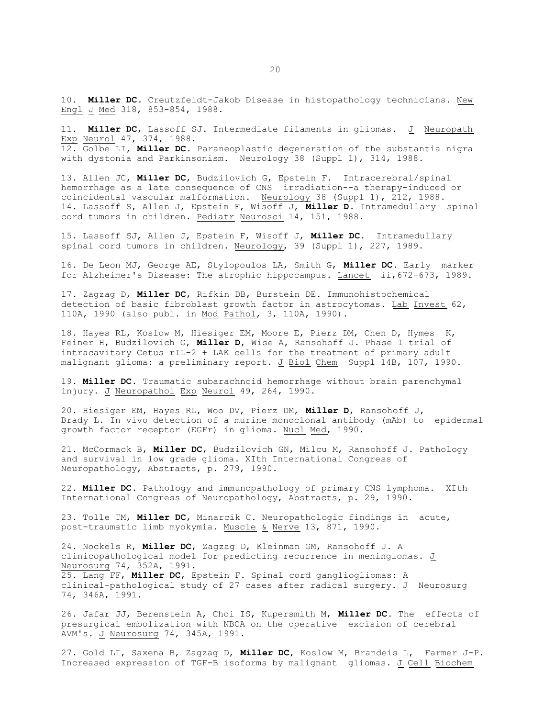10. **Miller DC**. Creutzfeldt-Jakob Disease in histopathology technicians. New Engl J Med 318, 853-854, 1988.

11. **Miller DC**, Lassoff SJ. Intermediate filaments in gliomas. J Neuropath Exp Neurol 47, 374, 1988. 12. Golbe LI, **Miller DC**. Paraneoplastic degeneration of the substantia nigra with dystonia and Parkinsonism. Neurology 38 (Suppl 1), 314, 1988.

13. Allen JC, **Miller DC**, Budzilovich G, Epstein F. Intracerebral/spinal hemorrhage as a late consequence of CNS irradiation--a therapy-induced or coincidental vascular malformation. Neurology 38 (Suppl 1), 212, 1988. 14. Lassoff S, Allen J, Epstein F, Wisoff J, **Miller D**. Intramedullary spinal cord tumors in children. Pediatr Neurosci 14, 151, 1988.

15. Lassoff SJ, Allen J, Epstein F, Wisoff J, **Miller DC**. Intramedullary spinal cord tumors in children. Neurology, 39 (Suppl 1), 227, 1989.

16. De Leon MJ, George AE, Stylopoulos LA, Smith G, **Miller DC**. Early marker for Alzheimer's Disease: The atrophic hippocampus. Lancet ii,672-673, 1989.

17. Zagzag D, **Miller DC**, Rifkin DB, Burstein DE. Immunohistochemical detection of basic fibroblast growth factor in astrocytomas. Lab Invest 62, 110A, 1990 (also publ. in Mod Pathol, 3, 110A, 1990).

18. Hayes RL, Koslow M, Hiesiger EM, Moore E, Pierz DM, Chen D, Hymes K, Feiner H, Budzilovich G, **Miller D**, Wise A, Ransohoff J. Phase I trial of intracavitary Cetus rIL-2 + LAK cells for the treatment of primary adult malignant glioma: a preliminary report. J Biol Chem Suppl 14B, 107, 1990.

19. **Miller DC**. Traumatic subarachnoid hemorrhage without brain parenchymal injury. J Neuropathol Exp Neurol 49, 264, 1990.

20. Hiesiger EM, Hayes RL, Woo DV, Pierz DM, **Miller D**, Ransohoff J, Brady L. In vivo detection of a murine monoclonal antibody (mAb) to epidermal growth factor receptor (EGFr) in glioma. Nucl Med, 1990.

21. McCormack B, **Miller DC**, Budzilovich GN, Milcu M, Ransohoff J. Pathology and survival in low grade glioma. XIth International Congress of Neuropathology, Abstracts, p. 279, 1990.

22. **Miller DC**. Pathology and immunopathology of primary CNS lymphoma. XIth International Congress of Neuropathology, Abstracts, p. 29, 1990.

23. Tolle TM, **Miller DC**, Minarcik C. Neuropathologic findings in acute, post-traumatic limb myokymia. Muscle & Nerve 13, 871, 1990.

24. Nockels R, **Miller DC**, Zagzag D, Kleinman GM, Ransohoff J. A clinicopathological model for predicting recurrence in meningiomas. J Neurosurg 74, 352A, 1991. 25. Lang FF, **Miller DC**, Epstein F. Spinal cord gangliogliomas: A clinical-pathological study of 27 cases after radical surgery. J Neurosurg 74, 346A, 1991.

26. Jafar JJ, Berenstein A, Choi IS, Kupersmith M, **Miller DC**. The effects of presurgical embolization with NBCA on the operative excision of cerebral AVM's. J Neurosurg 74, 345A, 1991.

27. Gold LI, Saxena B, Zagzag D, **Miller DC**, Koslow M, Brandeis L, Farmer J-P. Increased expression of TGF-B isoforms by malignant gliomas. J Cell Biochem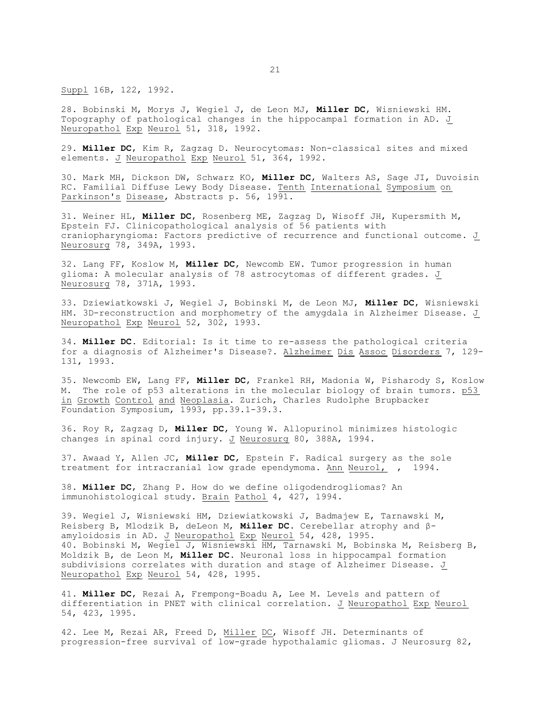Suppl 16B, 122, 1992.

28. Bobinski M, Morys J, Wegiel J, de Leon MJ, **Miller DC**, Wisniewski HM. Topography of pathological changes in the hippocampal formation in AD. J Neuropathol Exp Neurol 51, 318, 1992.

29. **Miller DC**, Kim R, Zagzag D. Neurocytomas: Non-classical sites and mixed elements. J Neuropathol Exp Neurol 51, 364, 1992.

30. Mark MH, Dickson DW, Schwarz KO, **Miller DC**, Walters AS, Sage JI, Duvoisin RC. Familial Diffuse Lewy Body Disease. Tenth International Symposium on Parkinson's Disease, Abstracts p. 56, 1991.

31. Weiner HL, **Miller DC**, Rosenberg ME, Zagzag D, Wisoff JH, Kupersmith M, Epstein FJ. Clinicopathological analysis of 56 patients with craniopharyngioma: Factors predictive of recurrence and functional outcome. J Neurosurg 78, 349A, 1993.

32. Lang FF, Koslow M, **Miller DC**, Newcomb EW. Tumor progression in human glioma: A molecular analysis of 78 astrocytomas of different grades. J Neurosurg 78, 371A, 1993.

33. Dziewiatkowski J, Wegiel J, Bobinski M, de Leon MJ, **Miller DC**, Wisniewski HM. 3D-reconstruction and morphometry of the amygdala in Alzheimer Disease. J Neuropathol Exp Neurol 52, 302, 1993.

34. **Miller DC**. Editorial: Is it time to re-assess the pathological criteria for a diagnosis of Alzheimer's Disease?. Alzheimer Dis Assoc Disorders 7, 129- 131, 1993.

35. Newcomb EW, Lang FF, **Miller DC**, Frankel RH, Madonia W, Pisharody S, Koslow M. The role of p53 alterations in the molecular biology of brain tumors. p53 in Growth Control and Neoplasia. Zurich, Charles Rudolphe Brupbacker Foundation Symposium, 1993, pp.39.1-39.3.

36. Roy R, Zagzag D, **Miller DC**, Young W. Allopurinol minimizes histologic changes in spinal cord injury. J Neurosurg 80, 388A, 1994.

37. Awaad Y, Allen JC, **Miller DC**, Epstein F. Radical surgery as the sole treatment for intracranial low grade ependymoma. Ann Neurol, , 1994.

38. **Miller DC**, Zhang P. How do we define oligodendrogliomas? An immunohistological study. Brain Pathol 4, 427, 1994.

39. Wegiel J, Wisniewski HM, Dziewiatkowski J, Badmajew E, Tarnawski M, Reisberg B, Mlodzik B, deLeon M, **Miller DC**. Cerebellar atrophy and âamyloidosis in AD. J Neuropathol Exp Neurol 54, 428, 1995. 40. Bobinski M, Wegiel J, Wisniewski HM, Tarnawski M, Bobinska M, Reisberg B, Moldzik B, de Leon M, **Miller DC**. Neuronal loss in hippocampal formation subdivisions correlates with duration and stage of Alzheimer Disease. J Neuropathol Exp Neurol 54, 428, 1995.

41. **Miller DC**, Rezai A, Frempong-Boadu A, Lee M. Levels and pattern of differentiation in PNET with clinical correlation. J Neuropathol Exp Neurol 54, 423, 1995.

42. Lee M, Rezai AR, Freed D, Miller DC, Wisoff JH. Determinants of progression-free survival of low-grade hypothalamic gliomas. J Neurosurg 82,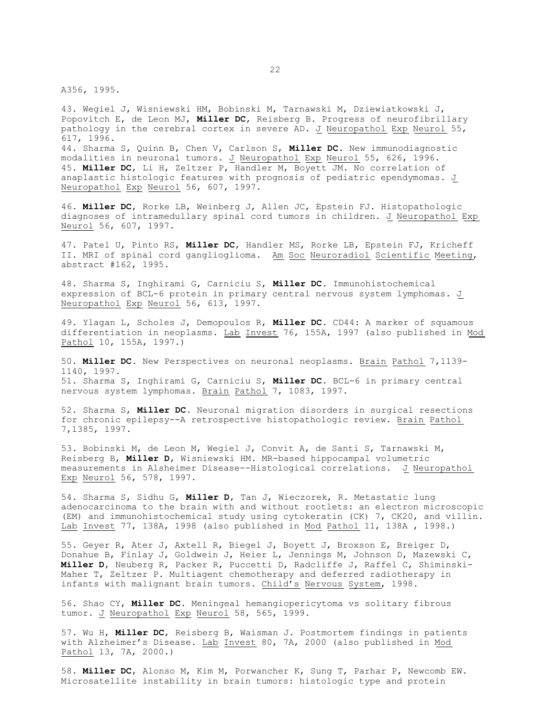A356, 1995.

43. Wegiel J, Wisniewski HM, Bobinski M, Tarnawski M, Dziewiatkowski J, Popovitch E, de Leon MJ, **Miller DC**, Reisberg B. Progress of neurofibrillary pathology in the cerebral cortex in severe AD. J Neuropathol Exp Neurol 55, 617, 1996. 44. Sharma S, Quinn B, Chen V, Carlson S, **Miller DC**. New immunodiagnostic modalities in neuronal tumors. J Neuropathol Exp Neurol 55, 626, 1996. 45. **Miller DC**, Li H, Zeltzer P, Handler M, Boyett JM. No correlation of anaplastic histologic features with prognosis of pediatric ependymomas. J Neuropathol Exp Neurol 56, 607, 1997.

46. **Miller DC**, Rorke LB, Weinberg J, Allen JC, Epstein FJ. Histopathologic diagnoses of intramedullary spinal cord tumors in children. J Neuropathol Exp Neurol 56, 607, 1997.

47. Patel U, Pinto RS, **Miller DC**, Handler MS, Rorke LB, Epstein FJ, Kricheff II. MRI of spinal cord ganglioglioma. Am Soc Neuroradiol Scientific Meeting, abstract #162, 1995.

48. Sharma S, Inghirami G, Carniciu S, **Miller DC**. Immunohistochemical expression of BCL-6 protein in primary central nervous system lymphomas. J Neuropathol Exp Neurol 56, 613, 1997.

49. Ylagan L, Scholes J, Demopoulos R, **Miller DC**. CD44: A marker of squamous differentiation in neoplasms. Lab Invest 76, 155A, 1997 (also published in Mod Pathol 10, 155A, 1997.)

50. **Miller DC**. New Perspectives on neuronal neoplasms. Brain Pathol 7,1139- 1140, 1997. 51. Sharma S, Inghirami G, Carniciu S, **Miller DC**. BCL-6 in primary central nervous system lymphomas. Brain Pathol 7, 1083, 1997.

52. Sharma S, **Miller DC**. Neuronal migration disorders in surgical resections for chronic epilepsy--A retrospective histopathologic review. Brain Pathol 7,1385, 1997.

53. Bobinski M, de Leon M, Wegiel J, Convit A, de Santi S, Tarnawski M, Reisberg B, **Miller D**, Wisniewski HM. MR-based hippocampal volumetric measurements in Alsheimer Disease--Histological correlations. J Neuropathol Exp Neurol 56, 578, 1997.

54. Sharma S, Sidhu G, **Miller D**, Tan J, Wieczorek, R. Metastatic lung adenocarcinoma to the brain with and without rootlets: an electron microscopic (EM) and immunohistochemical study using cytokeratin (CK) 7, CK20, and villin. Lab Invest 77, 138A, 1998 (also published in Mod Pathol 11, 138A , 1998.)

55. Geyer R, Ater J, Axtell R, Biegel J, Boyett J, Broxson E, Breiger D, Donahue B, Finlay J, Goldwein J, Heier L, Jennings M, Johnson D, Mazewski C, **Miller D**, Neuberg R, Packer R, Puccetti D, Radcliffe J, Raffel C, Shiminski-Maher T, Zeltzer P. Multiagent chemotherapy and deferred radiotherapy in infants with malignant brain tumors. Child's Nervous System, 1998.

56. Shao CY, **Miller DC**. Meningeal hemangiopericytoma vs solitary fibrous tumor. J Neuropathol Exp Neurol 58, 565, 1999.

57. Wu H, **Miller DC**, Reisberg B, Waisman J. Postmortem findings in patients with Alzheimer's Disease. Lab Invest 80, 7A, 2000 (also published in Mod Pathol 13, 7A, 2000.)

58. **Miller DC**, Alonso M, Kim M, Porwancher K, Sung T, Parhar P, Newcomb EW. Microsatellite instability in brain tumors: histologic type and protein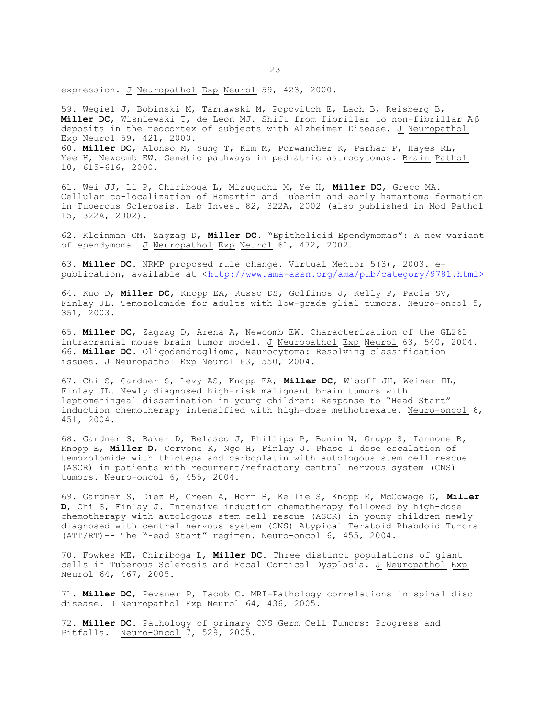expression. J Neuropathol Exp Neurol 59, 423, 2000.

59. Wegiel J, Bobinski M, Tarnawski M, Popovitch E, Lach B, Reisberg B, **Miller DC**, Wisniewski T, de Leon MJ. Shift from fibrillar to non-fibrillar A â deposits in the neocortex of subjects with Alzheimer Disease. J Neuropathol Exp Neurol 59, 421, 2000. 60. **Miller DC**, Alonso M, Sung T, Kim M, Porwancher K, Parhar P, Hayes RL, Yee H, Newcomb EW. Genetic pathways in pediatric astrocytomas. Brain Pathol 10, 615-616, 2000.

61. Wei JJ, Li P, Chiriboga L, Mizuguchi M, Ye H, **Miller DC**, Greco MA. Cellular co-localization of Hamartin and Tuberin and early hamartoma formation in Tuberous Sclerosis. Lab Invest 82, 322A, 2002 (also published in Mod Pathol 15, 322A, 2002).

62. Kleinman GM, Zagzag D, **Miller DC**. "Epithelioid Ependymomas": A new variant of ependymoma. J Neuropathol Exp Neurol 61, 472, 2002.

63. **Miller DC.** NRMP proposed rule change. Virtual Mentor 5(3), 2003. epublication, available at <[http://www.ama-assn.org/ama/pub/category/9781.html>](<http://www.ama-assn.org/ama/pub/category/9781.html>)

64. Kuo D, **Miller DC**, Knopp EA, Russo DS, Golfinos J, Kelly P, Pacia SV, Finlay JL. Temozolomide for adults with low-grade glial tumors. Neuro-oncol 5, 351, 2003.

65. **Miller DC**, Zagzag D, Arena A, Newcomb EW. Characterization of the GL261 intracranial mouse brain tumor model. J Neuropathol Exp Neurol 63, 540, 2004. 66. **Miller DC.** Oligodendroglioma, Neurocytoma: Resolving classification issues. J Neuropathol Exp Neurol 63, 550, 2004.

67. Chi S, Gardner S, Levy AS, Knopp EA, **Miller DC**, Wisoff JH, Weiner HL, Finlay JL. Newly diagnosed high-risk malignant brain tumors with leptomeningeal dissemination in young children: Response to "Head Start" induction chemotherapy intensified with high-dose methotrexate. Neuro-oncol 6, 451, 2004.

68. Gardner S, Baker D, Belasco J, Phillips P, Bunin N, Grupp S, Iannone R, Knopp E, **Miller D**, Cervone K, Ngo H, Finlay J. Phase I dose escalation of temozolomide with thiotepa and carboplatin with autologous stem cell rescue (ASCR) in patients with recurrent/refractory central nervous system (CNS) tumors. Neuro-oncol 6, 455, 2004.

69. Gardner S, Diez B, Green A, Horn B, Kellie S, Knopp E, McCowage G, **Miller D**, Chi S, Finlay J. Intensive induction chemotherapy followed by high-dose chemotherapy with autologous stem cell rescue (ASCR) in young children newly diagnosed with central nervous system (CNS) Atypical Teratoid Rhabdoid Tumors (ATT/RT)–- The "Head Start" regimen. Neuro-oncol 6, 455, 2004.

70. Fowkes ME, Chiriboga L, **Miller DC.** Three distinct populations of giant cells in Tuberous Sclerosis and Focal Cortical Dysplasia. J Neuropathol Exp Neurol 64, 467, 2005.

71. **Miller DC**, Pevsner P, Iacob C. MRI-Pathology correlations in spinal disc disease. J Neuropathol Exp Neurol 64, 436, 2005.

72. **Miller DC.** Pathology of primary CNS Germ Cell Tumors: Progress and Pitfalls. Neuro-Oncol 7, 529, 2005.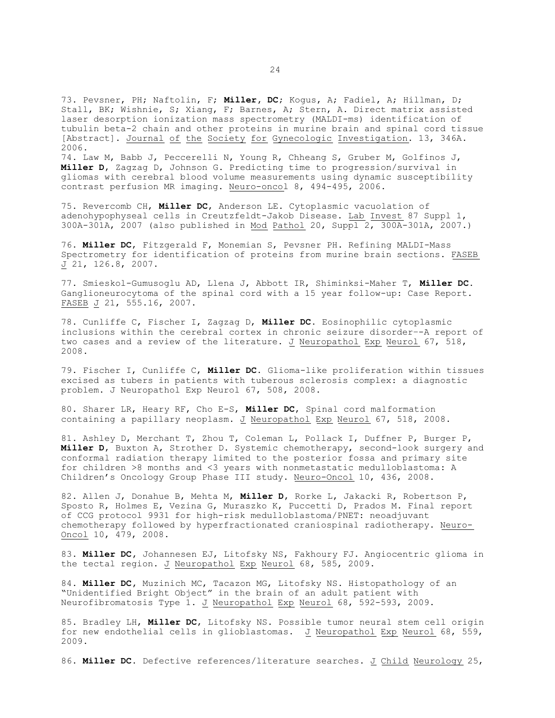73. Pevsner, PH; Naftolin, F; **Miller, DC**; Kogus, A; Fadiel, A; Hillman, D; Stall, BK; Wishnie, S; Xiang, F; Barnes, A; Stern, A. Direct matrix assisted laser desorption ionization mass spectrometry (MALDI-ms) identification of tubulin beta-2 chain and other proteins in murine brain and spinal cord tissue [Abstract]. Journal of the Society for Gynecologic Investigation. 13, 346A. 2006.

74. Law M, Babb J, Peccerelli N, Young R, Chheang S, Gruber M, Golfinos J, **Miller D**, Zagzag D, Johnson G. Predicting time to progression/survival in gliomas with cerebral blood volume measurements using dynamic susceptibility contrast perfusion MR imaging. Neuro-oncol 8, 494-495, 2006.

75. Revercomb CH, **Miller DC**, Anderson LE. Cytoplasmic vacuolation of adenohypophyseal cells in Creutzfeldt-Jakob Disease. Lab Invest 87 Suppl 1, 300A-301A, 2007 (also published in Mod Pathol 20, Suppl 2, 300A-301A, 2007.)

76. **Miller DC**, Fitzgerald F, Monemian S, Pevsner PH. Refining MALDI-Mass Spectrometry for identification of proteins from murine brain sections. FASEB  $J$  21, 126.8, 2007.

77. Smieskol-Gumusoglu AD, Llena J, Abbott IR, Shiminksi-Maher T, **Miller DC.** Ganglioneurocytoma of the spinal cord with a 15 year follow-up: Case Report. FASEB J 21, 555.16, 2007.

78. Cunliffe C, Fischer I, Zagzag D, **Miller DC.** Eosinophilic cytoplasmic inclusions within the cerebral cortex in chronic seizure disorder–-A report of two cases and a review of the literature. J Neuropathol Exp Neurol 67, 518, 2008.

79. Fischer I, Cunliffe C, **Miller DC.** Glioma-like proliferation within tissues excised as tubers in patients with tuberous sclerosis complex: a diagnostic problem. J Neuropathol Exp Neurol 67, 508, 2008.

80. Sharer LR, Heary RF, Cho E-S, **Miller DC**, Spinal cord malformation containing a papillary neoplasm. J Neuropathol Exp Neurol 67, 518, 2008.

81. Ashley D, Merchant T, Zhou T, Coleman L, Pollack I, Duffner P, Burger P, **Miller D**, Buxton A, Strother D. Systemic chemotherapy, second-look surgery and conformal radiation therapy limited to the posterior fossa and primary site for children >8 months and <3 years with nonmetastatic medulloblastoma: A Children's Oncology Group Phase III study. Neuro-Oncol 10, 436, 2008.

82. Allen J, Donahue B, Mehta M, **Miller D**, Rorke L, Jakacki R, Robertson P, Sposto R, Holmes E, Vezina G, Muraszko K, Puccetti D, Prados M. Final report of CCG protocol 9931 for high-risk medulloblastoma/PNET: neoadjuvant chemotherapy followed by hyperfractionated craniospinal radiotherapy. Neuro-Oncol 10, 479, 2008.

83. **Miller DC,** Johannesen EJ, Litofsky NS, Fakhoury FJ. Angiocentric glioma in the tectal region. J Neuropathol Exp Neurol 68, 585, 2009.

84. **Miller DC,** Muzinich MC, Tacazon MG, Litofsky NS. Histopathology of an "Unidentified Bright Object" in the brain of an adult patient with Neurofibromatosis Type 1. J Neuropathol Exp Neurol 68, 592-593, 2009.

85. Bradley LH, **Miller DC**, Litofsky NS. Possible tumor neural stem cell origin for new endothelial cells in glioblastomas. J Neuropathol Exp Neurol 68, 559, 2009.

86. **Miller DC.** Defective references/literature searches. J Child Neurology 25,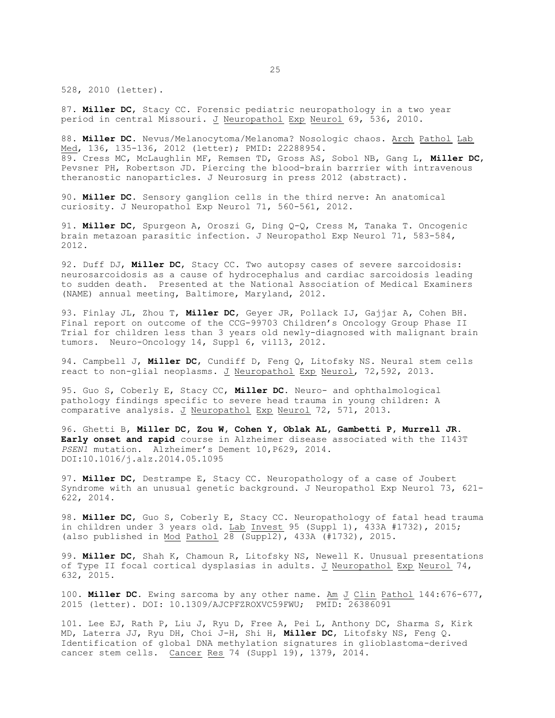528, 2010 (letter).

87. **Miller DC**, Stacy CC. Forensic pediatric neuropathology in a two year period in central Missouri. J Neuropathol Exp Neurol 69, 536, 2010.

88. **Miller DC.** Nevus/Melanocytoma/Melanoma? Nosologic chaos. Arch Pathol Lab Med, 136, 135-136, 2012 (letter); PMID: 22288954. 89. Cress MC, McLaughlin MF, Remsen TD, Gross AS, Sobol NB, Gang L, **Miller DC**, Pevsner PH, Robertson JD. Piercing the blood-brain barrrier with intravenous theranostic nanoparticles. J Neurosurg in press 2012 (abstract).

90. **Miller DC.** Sensory ganglion cells in the third nerve: An anatomical curiosity. J Neuropathol Exp Neurol 71, 560-561, 2012.

91. **Miller DC**, Spurgeon A, Oroszi G, Ding Q-Q, Cress M, Tanaka T. Oncogenic brain metazoan parasitic infection. J Neuropathol Exp Neurol 71, 583-584, 2012.

92. Duff DJ, **Miller DC**, Stacy CC. Two autopsy cases of severe sarcoidosis: neurosarcoidosis as a cause of hydrocephalus and cardiac sarcoidosis leading to sudden death. Presented at the National Association of Medical Examiners (NAME) annual meeting, Baltimore, Maryland, 2012.

93. Finlay JL, Zhou T, **Miller DC**, Geyer JR, Pollack IJ, Gajjar A, Cohen BH. Final report on outcome of the CCG-99703 Children's Oncology Group Phase II Trial for children less than 3 years old newly-diagnosed with malignant brain tumors. Neuro-Oncology 14, Suppl 6, vi113, 2012.

94. Campbell J, **Miller DC**, Cundiff D, Feng Q, Litofsky NS. Neural stem cells react to non-glial neoplasms. J Neuropathol Exp Neurol, 72,592, 2013.

95. Guo S, Coberly E, Stacy CC, **Miller DC.** Neuro- and ophthalmological pathology findings specific to severe head trauma in young children: A comparative analysis. J Neuropathol Exp Neurol 72, 571, 2013.

96. Ghetti B, **Miller DC, Zou W, Cohen Y, Oblak AL, Gambetti P, Murrell JR. Early onset and rapid** course in Alzheimer disease associated with the I143T *PSEN1* mutation. Alzheimer's Dement 10,P629, 2014. DOI:10.1016/j.alz.2014.05.1095

97. **Miller DC**, Destrampe E, Stacy CC. Neuropathology of a case of Joubert Syndrome with an unusual genetic background. J Neuropathol Exp Neurol 73, 621- 622, 2014.

98. **Miller DC**, Guo S, Coberly E, Stacy CC. Neuropathology of fatal head trauma in children under 3 years old. Lab Invest 95 (Suppl 1), 433A #1732), 2015; (also published in Mod Pathol 28 (Suppl2), 433A (#1732), 2015.

99. **Miller DC**, Shah K, Chamoun R, Litofsky NS, Newell K. Unusual presentations of Type II focal cortical dysplasias in adults. J Neuropathol Exp Neurol 74, 632, 2015.

100. **Miller DC.** Ewing sarcoma by any other name. Am J Clin Pathol 144:676-677, 2015 (letter). DOI: 10.1309/AJCPFZROXVC59FWU; PMID: 26386091

101. Lee EJ, Rath P, Liu J, Ryu D, Free A, Pei L, Anthony DC, Sharma S, Kirk MD, Laterra JJ, Ryu DH, Choi J-H, Shi H, **Miller DC**, Litofsky NS, Feng Q. Identification of global DNA methylation signatures in glioblastoma-derived cancer stem cells. Cancer Res 74 (Suppl 19), 1379, 2014.